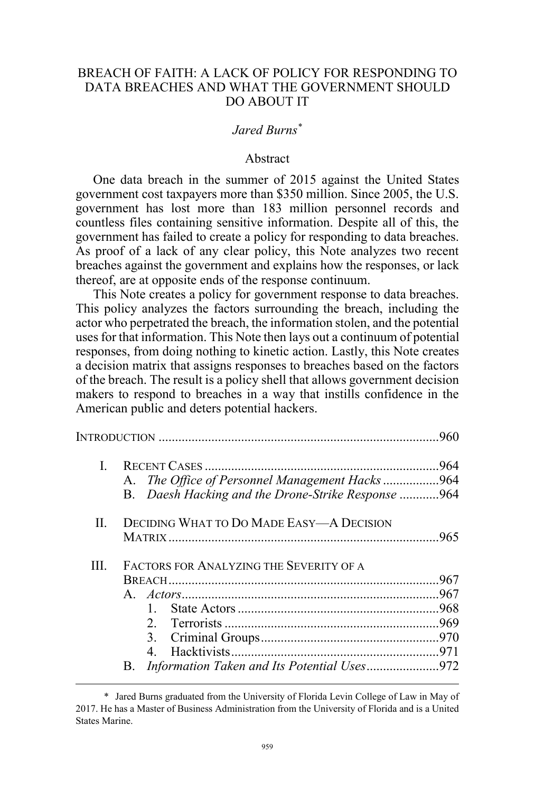# BREACH OF FAITH: A LACK OF POLICY FOR RESPONDING TO DATA BREACHES AND WHAT THE GOVERNMENT SHOULD DO ABOUT IT

# *Jared Burns\**

#### Abstract

One data breach in the summer of 2015 against the United States government cost taxpayers more than \$350 million. Since 2005, the U.S. government has lost more than 183 million personnel records and countless files containing sensitive information. Despite all of this, the government has failed to create a policy for responding to data breaches. As proof of a lack of any clear policy, this Note analyzes two recent breaches against the government and explains how the responses, or lack thereof, are at opposite ends of the response continuum.

This Note creates a policy for government response to data breaches. This policy analyzes the factors surrounding the breach, including the actor who perpetrated the breach, the information stolen, and the potential uses for that information. This Note then lays out a continuum of potential responses, from doing nothing to kinetic action. Lastly, this Note creates a decision matrix that assigns responses to breaches based on the factors of the breach. The result is a policy shell that allows government decision makers to respond to breaches in a way that instills confidence in the American public and deters potential hackers.

|    |                                                          | .960 |
|----|----------------------------------------------------------|------|
| L  |                                                          | .964 |
|    | A. The Office of Personnel Management Hacks 964          |      |
|    | B. Daesh Hacking and the Drone-Strike Response 964       |      |
| H. | <b>DECIDING WHAT TO DO MADE EASY-A DECISION</b>          |      |
|    |                                                          | 965  |
| Ш  | FACTORS FOR ANALYZING THE SEVERITY OF A                  |      |
|    |                                                          | 967  |
|    |                                                          |      |
|    |                                                          |      |
|    |                                                          |      |
|    | 3                                                        |      |
|    | 4                                                        |      |
|    | Information Taken and Its Potential Uses972<br><b>B.</b> |      |

 <sup>\*</sup> Jared Burns graduated from the University of Florida Levin College of Law in May of 2017. He has a Master of Business Administration from the University of Florida and is a United States Marine.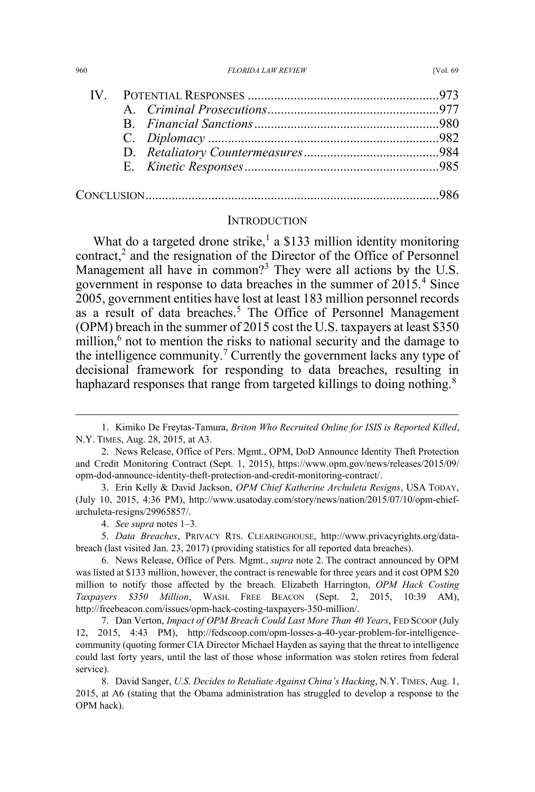| 960 | <b>FLORIDA LAW REVIEW</b> | <b>IVol. 69</b> |
|-----|---------------------------|-----------------|
|     |                           |                 |

#### **INTRODUCTION**

What do a targeted drone strike, $1$  a \$133 million identity monitoring contract, $2$  and the resignation of the Director of the Office of Personnel Management all have in common?<sup>3</sup> They were all actions by the U.S. government in response to data breaches in the summer of 2015.<sup>4</sup> Since 2005, government entities have lost at least 183 million personnel records as a result of data breaches.<sup>5</sup> The Office of Personnel Management (OPM) breach in the summer of 2015 cost the U.S. taxpayers at least \$350 million, $6$  not to mention the risks to national security and the damage to the intelligence community.<sup>7</sup> Currently the government lacks any type of decisional framework for responding to data breaches, resulting in haphazard responses that range from targeted killings to doing nothing.<sup>8</sup>

4. *See supra* notes 1–3.

5. *Data Breaches*, PRIVACY RTS. CLEARINGHOUSE, http://www.privacyrights.org/databreach (last visited Jan. 23, 2017) (providing statistics for all reported data breaches).

 <sup>1.</sup> Kimiko De Freytas-Tamura, *Briton Who Recruited Online for ISIS is Reported Killed*, N.Y. TIMES, Aug. 28, 2015, at A3.

<sup>2.</sup> News Release, Office of Pers. Mgmt., OPM, DoD Announce Identity Theft Protection and Credit Monitoring Contract (Sept. 1, 2015), https://www.opm.gov/news/releases/2015/09/ opm-dod-announce-identity-theft-protection-and-credit-monitoring-contract/.

<sup>3.</sup> Erin Kelly & David Jackson, *OPM Chief Katherine Archuleta Resigns*, USA TODAY, (July 10, 2015, 4:36 PM), http://www.usatoday.com/story/news/nation/2015/07/10/opm-chiefarchuleta-resigns/29965857/.

<sup>6.</sup> News Release, Office of Pers. Mgmt., *supra* note 2. The contract announced by OPM was listed at \$133 million, however, the contract is renewable for three years and it cost OPM \$20 million to notify those affected by the breach. Elizabeth Harrington, *OPM Hack Costing Taxpayers \$350 Million*, WASH. FREE BEACON (Sept. 2, 2015, 10:39 AM), http://freebeacon.com/issues/opm-hack-costing-taxpayers-350-million/.

<sup>7.</sup> Dan Verton, *Impact of OPM Breach Could Last More Than 40 Years*, FED SCOOP (July 12, 2015, 4:43 PM), http://fedscoop.com/opm-losses-a-40-year-problem-for-intelligencecommunity (quoting former CIA Director Michael Hayden as saying that the threat to intelligence could last forty years, until the last of those whose information was stolen retires from federal service).

<sup>8.</sup> David Sanger, *U.S. Decides to Retaliate Against China's Hacking*, N.Y. TIMES, Aug. 1, 2015, at A6 (stating that the Obama administration has struggled to develop a response to the OPM hack).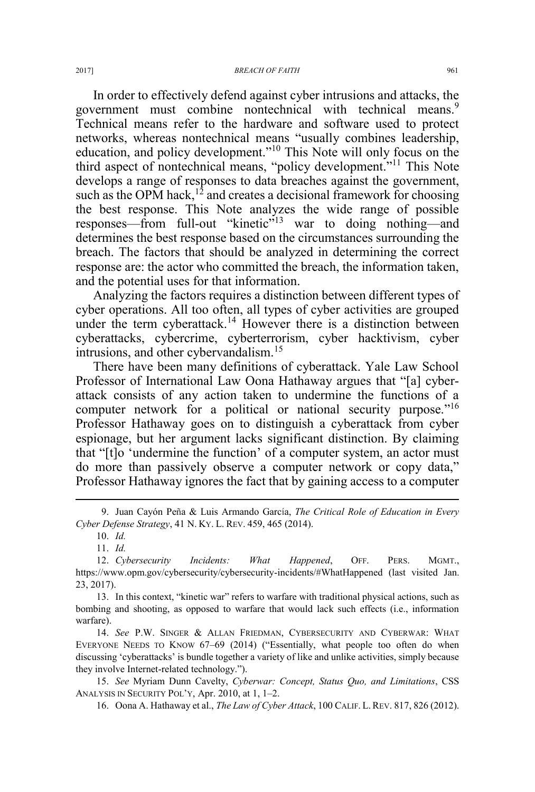In order to effectively defend against cyber intrusions and attacks, the government must combine nontechnical with technical means.<sup>9</sup> Technical means refer to the hardware and software used to protect networks, whereas nontechnical means "usually combines leadership, education, and policy development."<sup>10</sup> This Note will only focus on the third aspect of nontechnical means, "policy development."<sup>11</sup> This Note develops a range of responses to data breaches against the government, such as the OPM hack,<sup>12</sup> and creates a decisional framework for choosing the best response. This Note analyzes the wide range of possible responses—from full-out "kinetic"<sup>13</sup> war to doing nothing—and determines the best response based on the circumstances surrounding the breach. The factors that should be analyzed in determining the correct response are: the actor who committed the breach, the information taken, and the potential uses for that information.

Analyzing the factors requires a distinction between different types of cyber operations. All too often, all types of cyber activities are grouped under the term cyberattack.<sup>14</sup> However there is a distinction between cyberattacks, cybercrime, cyberterrorism, cyber hacktivism, cyber intrusions, and other cybervandalism.<sup>15</sup>

There have been many definitions of cyberattack. Yale Law School Professor of International Law Oona Hathaway argues that "[a] cyberattack consists of any action taken to undermine the functions of a computer network for a political or national security purpose."<sup>16</sup> Professor Hathaway goes on to distinguish a cyberattack from cyber espionage, but her argument lacks significant distinction. By claiming that "[t]o 'undermine the function' of a computer system, an actor must do more than passively observe a computer network or copy data," Professor Hathaway ignores the fact that by gaining access to a computer

14. *See* P.W. SINGER & ALLAN FRIEDMAN, CYBERSECURITY AND CYBERWAR: WHAT EVERYONE NEEDS TO KNOW 67–69 (2014) ("Essentially, what people too often do when discussing 'cyberattacks' is bundle together a variety of like and unlike activities, simply because they involve Internet-related technology.").

15. *See* Myriam Dunn Cavelty, *Cyberwar: Concept, Status Quo, and Limitations*, CSS ANALYSIS IN SECURITY POL'Y, Apr. 2010, at 1, 1–2.

16. Oona A. Hathaway et al., *The Law of Cyber Attack*, 100 CALIF. L. REV. 817, 826 (2012).

 <sup>9.</sup> Juan Cayón Peña & Luis Armando García, *The Critical Role of Education in Every Cyber Defense Strategy*, 41 N. KY. L. REV. 459, 465 (2014).

<sup>10.</sup> *Id.*

<sup>11.</sup> *Id.*

<sup>12.</sup> *Cybersecurity Incidents: What Happened*, OFF. PERS. MGMT., https://www.opm.gov/cybersecurity/cybersecurity-incidents/#WhatHappened (last visited Jan. 23, 2017).

<sup>13.</sup> In this context, "kinetic war" refers to warfare with traditional physical actions, such as bombing and shooting, as opposed to warfare that would lack such effects (i.e., information warfare).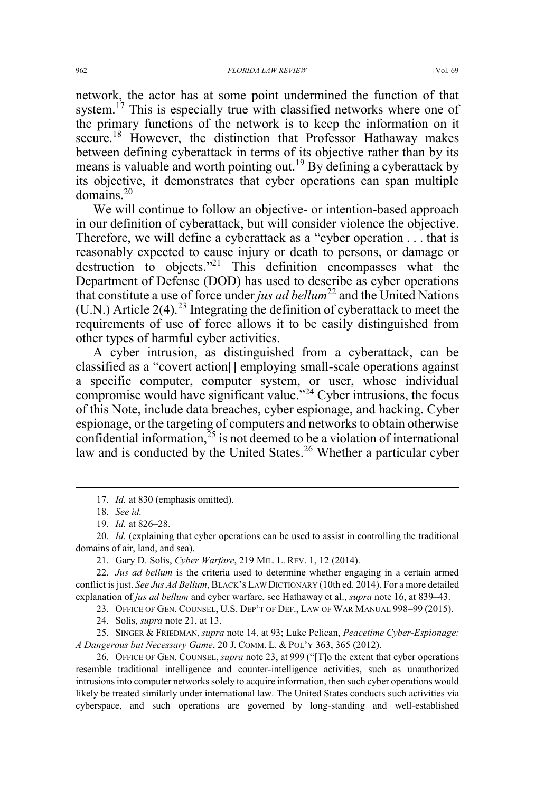network, the actor has at some point undermined the function of that system.<sup>17</sup> This is especially true with classified networks where one of the primary functions of the network is to keep the information on it secure.<sup>18</sup> However, the distinction that Professor Hathaway makes between defining cyberattack in terms of its objective rather than by its means is valuable and worth pointing out.<sup>19</sup> By defining a cyberattack by its objective, it demonstrates that cyber operations can span multiple domains.<sup>20</sup>

We will continue to follow an objective- or intention-based approach in our definition of cyberattack, but will consider violence the objective. Therefore, we will define a cyberattack as a "cyber operation . . . that is reasonably expected to cause injury or death to persons, or damage or destruction to objects."<sup>21</sup> This definition encompasses what the Department of Defense (DOD) has used to describe as cyber operations that constitute a use of force under *jus ad bellum*<sup>22</sup> and the United Nations (U.N.) Article  $2(4)$ <sup>23</sup> Integrating the definition of cyberattack to meet the requirements of use of force allows it to be easily distinguished from other types of harmful cyber activities.

A cyber intrusion, as distinguished from a cyberattack, can be classified as a "covert action[] employing small-scale operations against a specific computer, computer system, or user, whose individual compromise would have significant value."<sup>24</sup> Cyber intrusions, the focus of this Note, include data breaches, cyber espionage, and hacking. Cyber espionage, or the targeting of computers and networks to obtain otherwise confidential information,  $25$  is not deemed to be a violation of international law and is conducted by the United States.<sup>26</sup> Whether a particular cyber

23. OFFICE OF GEN. COUNSEL, U.S. DEP'T OF DEF., LAW OF WAR MANUAL 998–99 (2015).

25. SINGER & FRIEDMAN, *supra* note 14, at 93; Luke Pelican, *Peacetime Cyber-Espionage: A Dangerous but Necessary Game*, 20 J. COMM. L. & POL'Y 363, 365 (2012).

26. OFFICE OF GEN. COUNSEL, *supra* note 23, at 999 ("[T]o the extent that cyber operations resemble traditional intelligence and counter-intelligence activities, such as unauthorized intrusions into computer networks solely to acquire information, then such cyber operations would likely be treated similarly under international law. The United States conducts such activities via cyberspace, and such operations are governed by long-standing and well-established

 <sup>17.</sup> *Id.* at 830 (emphasis omitted).

<sup>18.</sup> *See id.*

<sup>19.</sup> *Id.* at 826–28.

<sup>20.</sup> *Id.* (explaining that cyber operations can be used to assist in controlling the traditional domains of air, land, and sea).

<sup>21.</sup> Gary D. Solis, *Cyber Warfare*, 219 MIL. L. REV. 1, 12 (2014).

<sup>22.</sup> *Jus ad bellum* is the criteria used to determine whether engaging in a certain armed conflict is just. *See Jus Ad Bellum*, BLACK'S LAW DICTIONARY (10th ed. 2014). For a more detailed explanation of *jus ad bellum* and cyber warfare, see Hathaway et al., *supra* note 16, at 839–43.

<sup>24.</sup> Solis, *supra* note 21, at 13.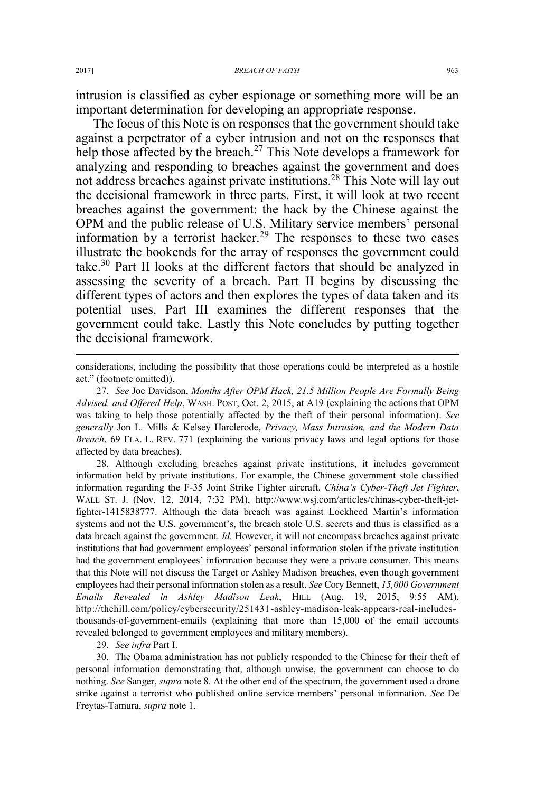intrusion is classified as cyber espionage or something more will be an important determination for developing an appropriate response.

The focus of this Note is on responses that the government should take against a perpetrator of a cyber intrusion and not on the responses that help those affected by the breach.<sup>27</sup> This Note develops a framework for analyzing and responding to breaches against the government and does not address breaches against private institutions.<sup>28</sup> This Note will lay out the decisional framework in three parts. First, it will look at two recent breaches against the government: the hack by the Chinese against the OPM and the public release of U.S. Military service members' personal information by a terrorist hacker.<sup>29</sup> The responses to these two cases illustrate the bookends for the array of responses the government could take.<sup>30</sup> Part II looks at the different factors that should be analyzed in assessing the severity of a breach. Part II begins by discussing the different types of actors and then explores the types of data taken and its potential uses. Part III examines the different responses that the government could take. Lastly this Note concludes by putting together the decisional framework.

considerations, including the possibility that those operations could be interpreted as a hostile act." (footnote omitted)).

27. *See* Joe Davidson, *Months After OPM Hack, 21.5 Million People Are Formally Being Advised, and Offered Help*, WASH. POST, Oct. 2, 2015, at A19 (explaining the actions that OPM was taking to help those potentially affected by the theft of their personal information). *See generally* Jon L. Mills & Kelsey Harclerode, *Privacy, Mass Intrusion, and the Modern Data Breach*, 69 FLA. L. REV. 771 (explaining the various privacy laws and legal options for those affected by data breaches).

28. Although excluding breaches against private institutions, it includes government information held by private institutions. For example, the Chinese government stole classified information regarding the F-35 Joint Strike Fighter aircraft. *China's Cyber-Theft Jet Fighter*, WALL ST. J. (Nov. 12, 2014, 7:32 PM), http://www.wsj.com/articles/chinas-cyber-theft-jetfighter-1415838777. Although the data breach was against Lockheed Martin's information systems and not the U.S. government's, the breach stole U.S. secrets and thus is classified as a data breach against the government. *Id.* However, it will not encompass breaches against private institutions that had government employees' personal information stolen if the private institution had the government employees' information because they were a private consumer. This means that this Note will not discuss the Target or Ashley Madison breaches, even though government employees had their personal information stolen as a result. *See* Cory Bennett, *15,000 Government Emails Revealed in Ashley Madison Leak*, HILL (Aug. 19, 2015, 9:55 AM), http://thehill.com/policy/cybersecurity/251431-ashley-madison-leak-appears-real-includesthousands-of-government-emails (explaining that more than 15,000 of the email accounts revealed belonged to government employees and military members).

29. *See infra* Part I.

30. The Obama administration has not publicly responded to the Chinese for their theft of personal information demonstrating that, although unwise, the government can choose to do nothing. *See* Sanger, *supra* note 8. At the other end of the spectrum, the government used a drone strike against a terrorist who published online service members' personal information. *See* De Freytas-Tamura, *supra* note 1.

 $\overline{a}$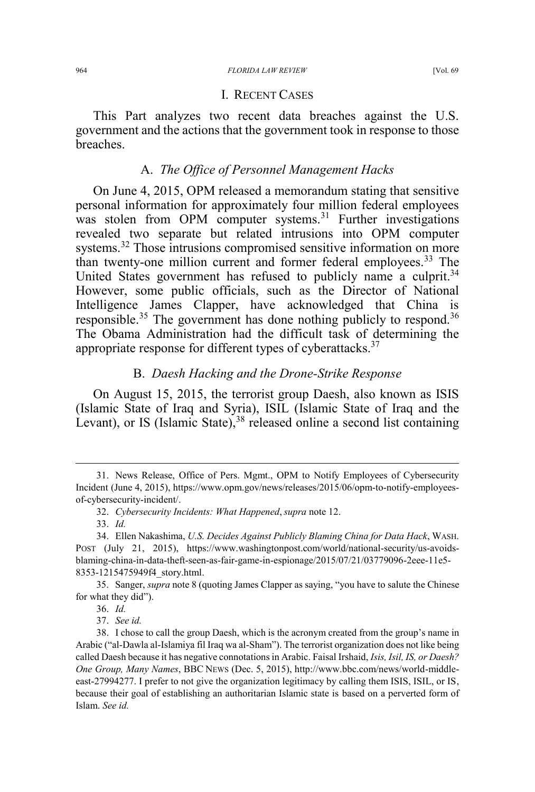#### 964 *FLORIDA LAW REVIEW* [Vol. 69

## I. RECENT CASES

This Part analyzes two recent data breaches against the U.S. government and the actions that the government took in response to those breaches.

#### A. *The Office of Personnel Management Hacks*

On June 4, 2015, OPM released a memorandum stating that sensitive personal information for approximately four million federal employees was stolen from OPM computer systems.<sup>31</sup> Further investigations revealed two separate but related intrusions into OPM computer systems.<sup>32</sup> Those intrusions compromised sensitive information on more than twenty-one million current and former federal employees.<sup>33</sup> The United States government has refused to publicly name a culprit.<sup>34</sup> However, some public officials, such as the Director of National Intelligence James Clapper, have acknowledged that China is responsible.<sup>35</sup> The government has done nothing publicly to respond.<sup>36</sup> The Obama Administration had the difficult task of determining the appropriate response for different types of cyberattacks.<sup>37</sup>

## B. *Daesh Hacking and the Drone-Strike Response*

On August 15, 2015, the terrorist group Daesh, also known as ISIS (Islamic State of Iraq and Syria), ISIL (Islamic State of Iraq and the Levant), or IS (Islamic State),  $38$  released online a second list containing

35. Sanger, *supra* note 8 (quoting James Clapper as saying, "you have to salute the Chinese for what they did").

36. *Id.*

 <sup>31.</sup> News Release, Office of Pers. Mgmt., OPM to Notify Employees of Cybersecurity Incident (June 4, 2015), https://www.opm.gov/news/releases/2015/06/opm-to-notify-employeesof-cybersecurity-incident/.

<sup>32.</sup> *Cybersecurity Incidents: What Happened*,*supra* note 12.

<sup>33.</sup> *Id.*

<sup>34.</sup> Ellen Nakashima, *U.S. Decides Against Publicly Blaming China for Data Hack*, WASH. POST (July 21, 2015), https://www.washingtonpost.com/world/national-security/us-avoidsblaming-china-in-data-theft-seen-as-fair-game-in-espionage/2015/07/21/03779096-2eee-11e5- 8353-1215475949f4\_story.html.

<sup>37.</sup> *See id.*

<sup>38.</sup> I chose to call the group Daesh, which is the acronym created from the group's name in Arabic ("al-Dawla al-Islamiya fil Iraq wa al-Sham"). The terrorist organization does not like being called Daesh because it has negative connotations in Arabic. Faisal Irshaid, *Isis, Isil, IS, or Daesh? One Group, Many Names*, BBC NEWS (Dec. 5, 2015), http://www.bbc.com/news/world-middleeast-27994277. I prefer to not give the organization legitimacy by calling them ISIS, ISIL, or IS, because their goal of establishing an authoritarian Islamic state is based on a perverted form of Islam. *See id.*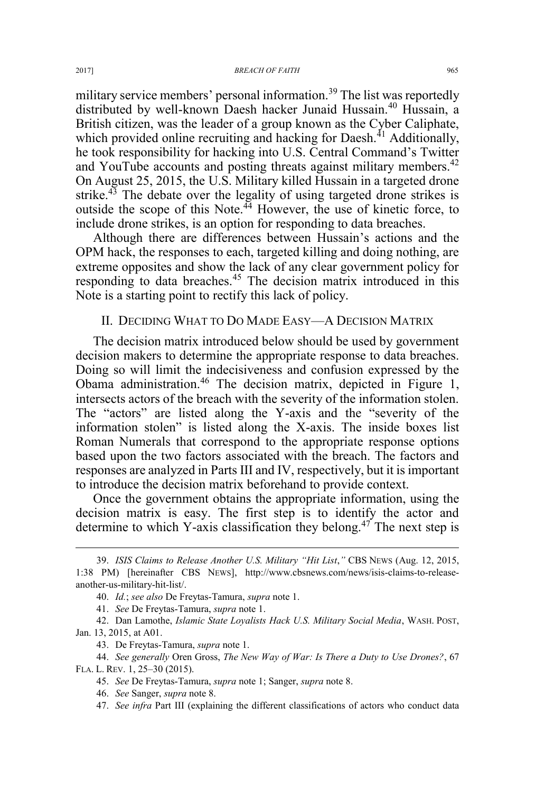military service members' personal information.<sup>39</sup> The list was reportedly distributed by well-known Daesh hacker Junaid Hussain.<sup>40</sup> Hussain, a British citizen, was the leader of a group known as the Cyber Caliphate, which provided online recruiting and hacking for Daesh.<sup> $41$ </sup> Additionally, he took responsibility for hacking into U.S. Central Command's Twitter and YouTube accounts and posting threats against military members.<sup>42</sup> On August 25, 2015, the U.S. Military killed Hussain in a targeted drone strike. $43$  The debate over the legality of using targeted drone strikes is outside the scope of this Note.<sup>44</sup> However, the use of kinetic force, to include drone strikes, is an option for responding to data breaches.

Although there are differences between Hussain's actions and the OPM hack, the responses to each, targeted killing and doing nothing, are extreme opposites and show the lack of any clear government policy for responding to data breaches.<sup>45</sup> The decision matrix introduced in this Note is a starting point to rectify this lack of policy.

### II. DECIDING WHAT TO DO MADE EASY—A DECISION MATRIX

The decision matrix introduced below should be used by government decision makers to determine the appropriate response to data breaches. Doing so will limit the indecisiveness and confusion expressed by the Obama administration.<sup>46</sup> The decision matrix, depicted in Figure 1, intersects actors of the breach with the severity of the information stolen. The "actors" are listed along the Y-axis and the "severity of the information stolen" is listed along the X-axis. The inside boxes list Roman Numerals that correspond to the appropriate response options based upon the two factors associated with the breach. The factors and responses are analyzed in Parts III and IV, respectively, but it is important to introduce the decision matrix beforehand to provide context.

Once the government obtains the appropriate information, using the decision matrix is easy. The first step is to identify the actor and determine to which Y-axis classification they belong.<sup>47</sup> The next step is

 <sup>39.</sup> *ISIS Claims to Release Another U.S. Military "Hit List*,*"* CBS NEWS (Aug. 12, 2015, 1:38 PM) [hereinafter CBS NEWS], http://www.cbsnews.com/news/isis-claims-to-releaseanother-us-military-hit-list/.

<sup>40.</sup> *Id.*; *see also* De Freytas-Tamura, *supra* note 1.

<sup>41.</sup> *See* De Freytas-Tamura, *supra* note 1.

<sup>42.</sup> Dan Lamothe, *Islamic State Loyalists Hack U.S. Military Social Media*, WASH. POST, Jan. 13, 2015, at A01.

<sup>43.</sup> De Freytas-Tamura, *supra* note 1.

<sup>44.</sup> *See generally* Oren Gross, *The New Way of War: Is There a Duty to Use Drones?*, 67 FLA. L. REV. 1, 25–30 (2015).

<sup>45.</sup> *See* De Freytas-Tamura, *supra* note 1; Sanger, *supra* note 8.

<sup>46.</sup> *See* Sanger, *supra* note 8.

<sup>47.</sup> *See infra* Part III (explaining the different classifications of actors who conduct data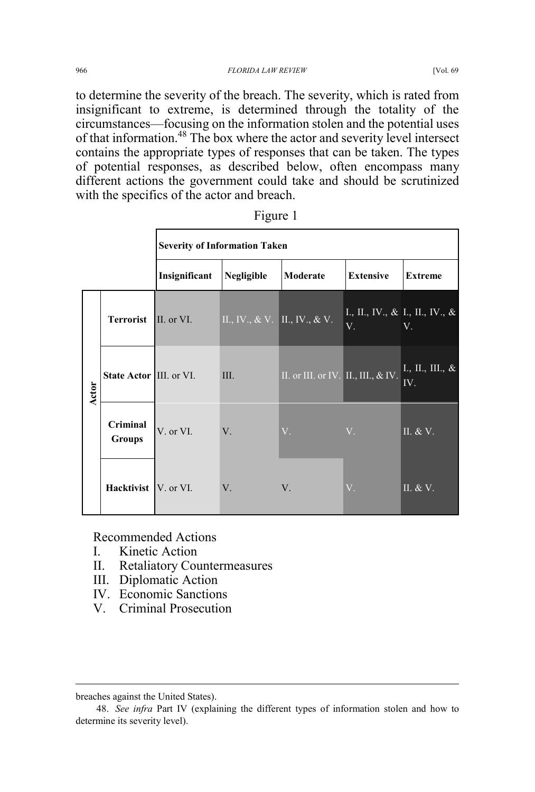966 *FLORIDA LAW REVIEW* [Vol. 69

to determine the severity of the breach. The severity, which is rated from insignificant to extreme, is determined through the totality of the circumstances—focusing on the information stolen and the potential uses of that information.<sup>48</sup> The box where the actor and severity level intersect contains the appropriate types of responses that can be taken. The types of potential responses, as described below, often encompass many different actions the government could take and should be scrutinized with the specifics of the actor and breach.

|       |                                | <b>Severity of Information Taken</b> |                               |                                        |                                                        |                                                           |  |
|-------|--------------------------------|--------------------------------------|-------------------------------|----------------------------------------|--------------------------------------------------------|-----------------------------------------------------------|--|
|       |                                | Insignificant                        | Negligible                    | Moderate                               | <b>Extensive</b>                                       | <b>Extreme</b>                                            |  |
| Actor | <b>Terrorist</b>               | II. or VI.                           | II., IV., & V. II., IV., & V. |                                        | $\vert$ I., II., IV., & I., II., IV., &<br>$V_{\odot}$ | V.                                                        |  |
|       | <b>State Actor III. or VI.</b> |                                      | III.                          | II. or III. or IV. II., III., $\&$ IV. |                                                        | $\overline{\overline{\mathrm{L, II., III., \&}}}\$<br>IV. |  |
|       | Criminal<br><b>Groups</b>      | V. or VI.                            | V.                            | $V_{\cdot}$                            | $V_{\cdot}$                                            | $\Pi$ . & V.                                              |  |
|       | <b>Hacktivist</b> V. or VI.    |                                      | $V_{.}$                       | V.                                     | $V_{+}$                                                | II. $&\overline{V}$ .                                     |  |

Figure 1

Recommended Actions

- I. Kinetic Action
- II. Retaliatory Countermeasures
- III. Diplomatic Action
- IV. Economic Sanctions
- V. Criminal Prosecution

 $\overline{a}$ 

breaches against the United States).

<sup>48.</sup> *See infra* Part IV (explaining the different types of information stolen and how to determine its severity level).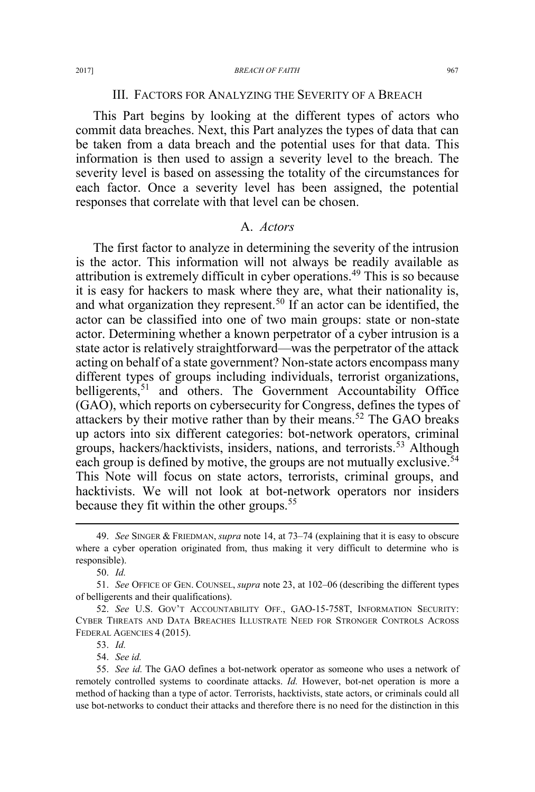### III. FACTORS FOR ANALYZING THE SEVERITY OF A BREACH

This Part begins by looking at the different types of actors who commit data breaches. Next, this Part analyzes the types of data that can be taken from a data breach and the potential uses for that data. This information is then used to assign a severity level to the breach. The severity level is based on assessing the totality of the circumstances for each factor. Once a severity level has been assigned, the potential responses that correlate with that level can be chosen.

#### A. *Actors*

The first factor to analyze in determining the severity of the intrusion is the actor. This information will not always be readily available as attribution is extremely difficult in cyber operations.<sup>49</sup> This is so because it is easy for hackers to mask where they are, what their nationality is, and what organization they represent.<sup>50</sup> If an actor can be identified, the actor can be classified into one of two main groups: state or non-state actor. Determining whether a known perpetrator of a cyber intrusion is a state actor is relatively straightforward—was the perpetrator of the attack acting on behalf of a state government? Non-state actors encompass many different types of groups including individuals, terrorist organizations, belligerents,<sup>51</sup> and others. The Government Accountability Office (GAO), which reports on cybersecurity for Congress, defines the types of attackers by their motive rather than by their means.<sup>52</sup> The GAO breaks up actors into six different categories: bot-network operators, criminal groups, hackers/hacktivists, insiders, nations, and terrorists.<sup>53</sup> Although each group is defined by motive, the groups are not mutually exclusive.<sup>54</sup> This Note will focus on state actors, terrorists, criminal groups, and hacktivists. We will not look at bot-network operators nor insiders because they fit within the other groups.<sup>55</sup>

54. *See id.*

 <sup>49.</sup> *See* SINGER & FRIEDMAN, *supra* note 14, at 73–74 (explaining that it is easy to obscure where a cyber operation originated from, thus making it very difficult to determine who is responsible).

<sup>50.</sup> *Id.*

<sup>51.</sup> *See* OFFICE OF GEN. COUNSEL, *supra* note 23, at 102–06 (describing the different types of belligerents and their qualifications).

<sup>52.</sup> *See* U.S. GOV'T ACCOUNTABILITY OFF., GAO-15-758T, INFORMATION SECURITY: CYBER THREATS AND DATA BREACHES ILLUSTRATE NEED FOR STRONGER CONTROLS ACROSS FEDERAL AGENCIES 4 (2015).

<sup>53.</sup> *Id.*

<sup>55.</sup> *See id.* The GAO defines a bot-network operator as someone who uses a network of remotely controlled systems to coordinate attacks. *Id.* However, bot-net operation is more a method of hacking than a type of actor. Terrorists, hacktivists, state actors, or criminals could all use bot-networks to conduct their attacks and therefore there is no need for the distinction in this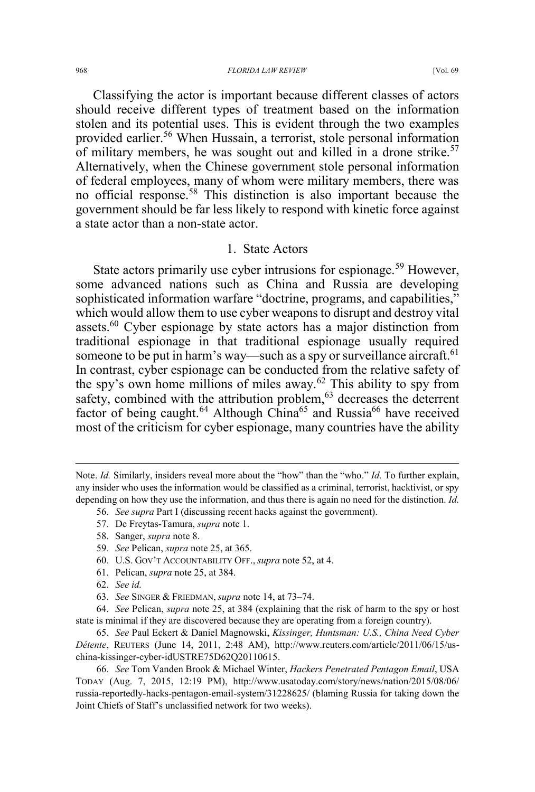#### 968 *FLORIDA LAW REVIEW* [Vol. 69

Classifying the actor is important because different classes of actors should receive different types of treatment based on the information stolen and its potential uses. This is evident through the two examples provided earlier.<sup>56</sup> When Hussain, a terrorist, stole personal information of military members, he was sought out and killed in a drone strike.<sup>57</sup> Alternatively, when the Chinese government stole personal information of federal employees, many of whom were military members, there was no official response.<sup>58</sup> This distinction is also important because the government should be far less likely to respond with kinetic force against a state actor than a non-state actor.

#### 1. State Actors

State actors primarily use cyber intrusions for espionage.<sup>59</sup> However, some advanced nations such as China and Russia are developing sophisticated information warfare "doctrine, programs, and capabilities," which would allow them to use cyber weapons to disrupt and destroy vital assets.<sup>60</sup> Cyber espionage by state actors has a major distinction from traditional espionage in that traditional espionage usually required someone to be put in harm's way—such as a spy or surveillance aircraft.<sup>61</sup> In contrast, cyber espionage can be conducted from the relative safety of the spy's own home millions of miles away.<sup>62</sup> This ability to spy from safety, combined with the attribution problem,<sup>63</sup> decreases the deterrent factor of being caught.<sup>64</sup> Although China<sup>65</sup> and Russia<sup>66</sup> have received most of the criticism for cyber espionage, many countries have the ability

- 56. *See supra* Part I (discussing recent hacks against the government).
	- 57. De Freytas-Tamura, *supra* note 1.
	- 58. Sanger, *supra* note 8.
	- 59. *See* Pelican, *supra* note 25, at 365.
	- 60. U.S. GOV'T ACCOUNTABILITY OFF., *supra* note 52, at 4.
	- 61. Pelican, *supra* note 25, at 384.
	- 62. *See id.*

 $\overline{a}$ 

63. *See* SINGER & FRIEDMAN, *supra* note 14, at 73–74.

Note. *Id.* Similarly, insiders reveal more about the "how" than the "who." *Id.* To further explain, any insider who uses the information would be classified as a criminal, terrorist, hacktivist, or spy depending on how they use the information, and thus there is again no need for the distinction. *Id.*

<sup>64.</sup> *See* Pelican, *supra* note 25, at 384 (explaining that the risk of harm to the spy or host state is minimal if they are discovered because they are operating from a foreign country).

<sup>65.</sup> *See* Paul Eckert & Daniel Magnowski, *Kissinger, Huntsman: U.S., China Need Cyber Détente*, REUTERS (June 14, 2011, 2:48 AM), http://www.reuters.com/article/2011/06/15/uschina-kissinger-cyber-idUSTRE75D62Q20110615.

<sup>66.</sup> *See* Tom Vanden Brook & Michael Winter, *Hackers Penetrated Pentagon Email*, USA TODAY (Aug. 7, 2015, 12:19 PM), http://www.usatoday.com/story/news/nation/2015/08/06/ russia-reportedly-hacks-pentagon-email-system/31228625/ (blaming Russia for taking down the Joint Chiefs of Staff's unclassified network for two weeks).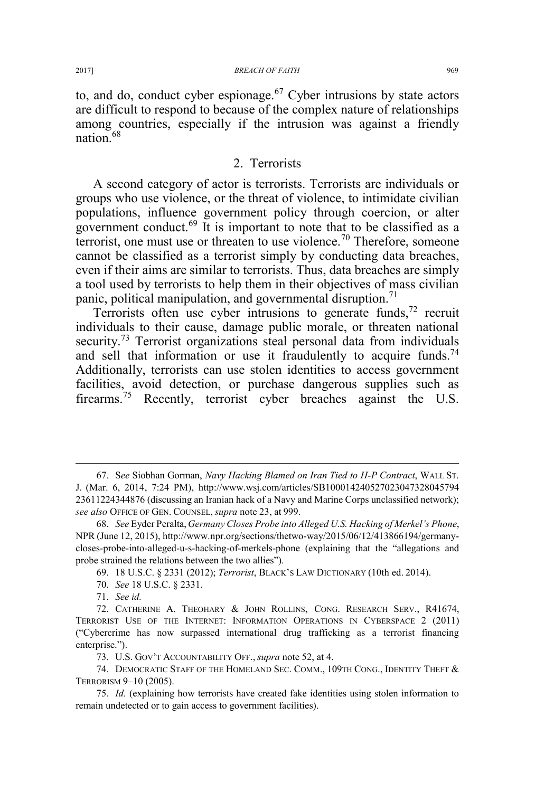to, and do, conduct cyber espionage.<sup>67</sup> Cyber intrusions by state actors are difficult to respond to because of the complex nature of relationships among countries, especially if the intrusion was against a friendly nation.<sup>68</sup>

## 2. Terrorists

A second category of actor is terrorists. Terrorists are individuals or groups who use violence, or the threat of violence, to intimidate civilian populations, influence government policy through coercion, or alter government conduct.<sup>69</sup> It is important to note that to be classified as a terrorist, one must use or threaten to use violence.<sup>70</sup> Therefore, someone cannot be classified as a terrorist simply by conducting data breaches, even if their aims are similar to terrorists. Thus, data breaches are simply a tool used by terrorists to help them in their objectives of mass civilian panic, political manipulation, and governmental disruption.<sup>71</sup>

Terrorists often use cyber intrusions to generate funds,  $72$  recruit individuals to their cause, damage public morale, or threaten national security.<sup>73</sup> Terrorist organizations steal personal data from individuals and sell that information or use it fraudulently to acquire funds.<sup>74</sup> Additionally, terrorists can use stolen identities to access government facilities, avoid detection, or purchase dangerous supplies such as firearms.<sup>75</sup> Recently, terrorist cyber breaches against the U.S.

- 70. *See* 18 U.S.C. § 2331.
- 71. *See id.*

 <sup>67.</sup> S*ee* Siobhan Gorman, *Navy Hacking Blamed on Iran Tied to H-P Contract*, WALL ST. J. (Mar. 6, 2014, 7:24 PM), http://www.wsj.com/articles/SB100014240527023047328045794 23611224344876 (discussing an Iranian hack of a Navy and Marine Corps unclassified network); *see also* OFFICE OF GEN. COUNSEL, *supra* note 23, at 999.

<sup>68.</sup> *See* Eyder Peralta, *Germany Closes Probe into Alleged U.S. Hacking of Merkel's Phone*, NPR (June 12, 2015), http://www.npr.org/sections/thetwo-way/2015/06/12/413866194/germanycloses-probe-into-alleged-u-s-hacking-of-merkels-phone (explaining that the "allegations and probe strained the relations between the two allies").

<sup>69. 18</sup> U.S.C. § 2331 (2012); *Terrorist*, BLACK'S LAW DICTIONARY (10th ed. 2014).

<sup>72.</sup> CATHERINE A. THEOHARY & JOHN ROLLINS, CONG. RESEARCH SERV., R41674, TERRORIST USE OF THE INTERNET: INFORMATION OPERATIONS IN CYBERSPACE 2 (2011) ("Cybercrime has now surpassed international drug trafficking as a terrorist financing enterprise.").

<sup>73.</sup> U.S. GOV'T ACCOUNTABILITY OFF., *supra* note 52, at 4.

<sup>74.</sup> DEMOCRATIC STAFF OF THE HOMELAND SEC. COMM., 109TH CONG., IDENTITY THEFT  $\&$ TERRORISM 9–10 (2005).

<sup>75.</sup> *Id.* (explaining how terrorists have created fake identities using stolen information to remain undetected or to gain access to government facilities).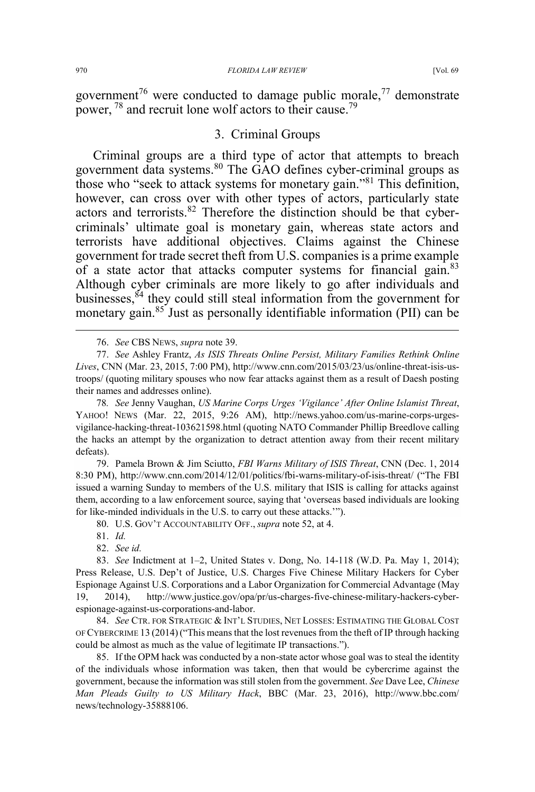government<sup>76</sup> were conducted to damage public morale,<sup>77</sup> demonstrate power, <sup>78</sup> and recruit lone wolf actors to their cause.<sup>79</sup>

# 3. Criminal Groups

Criminal groups are a third type of actor that attempts to breach government data systems.<sup>80</sup> The GAO defines cyber-criminal groups as those who "seek to attack systems for monetary gain."<sup>81</sup> This definition, however, can cross over with other types of actors, particularly state actors and terrorists.<sup>82</sup> Therefore the distinction should be that cybercriminals' ultimate goal is monetary gain, whereas state actors and terrorists have additional objectives. Claims against the Chinese government for trade secret theft from U.S. companies is a prime example of a state actor that attacks computer systems for financial gain.<sup>83</sup> Although cyber criminals are more likely to go after individuals and businesses, ${}^{54}$  they could still steal information from the government for monetary gain. $85$  Just as personally identifiable information (PII) can be

77. *See* Ashley Frantz, *As ISIS Threats Online Persist, Military Families Rethink Online Lives*, CNN (Mar. 23, 2015, 7:00 PM), http://www.cnn.com/2015/03/23/us/online-threat-isis-ustroops/ (quoting military spouses who now fear attacks against them as a result of Daesh posting their names and addresses online).

78*. See* Jenny Vaughan, *US Marine Corps Urges 'Vigilance' After Online Islamist Threat*, YAHOO! NEWS (Mar. 22, 2015, 9:26 AM), http://news.yahoo.com/us-marine-corps-urgesvigilance-hacking-threat-103621598.html (quoting NATO Commander Phillip Breedlove calling the hacks an attempt by the organization to detract attention away from their recent military defeats).

79. Pamela Brown & Jim Sciutto, *FBI Warns Military of ISIS Threat*, CNN (Dec. 1, 2014 8:30 PM), http://www.cnn.com/2014/12/01/politics/fbi-warns-military-of-isis-threat/ ("The FBI issued a warning Sunday to members of the U.S. military that ISIS is calling for attacks against them, according to a law enforcement source, saying that 'overseas based individuals are looking for like-minded individuals in the U.S. to carry out these attacks.'").

80. U.S. GOV'T ACCOUNTABILITY OFF., *supra* note 52, at 4.

81. *Id.*

82. *See id.*

83. *See* Indictment at 1–2, United States v. Dong, No. 14-118 (W.D. Pa. May 1, 2014); Press Release, U.S. Dep't of Justice, U.S. Charges Five Chinese Military Hackers for Cyber Espionage Against U.S. Corporations and a Labor Organization for Commercial Advantage (May 19, 2014), http://www.justice.gov/opa/pr/us-charges-five-chinese-military-hackers-cyberespionage-against-us-corporations-and-labor.

84. *See* CTR. FOR STRATEGIC & INT'L STUDIES, NET LOSSES: ESTIMATING THE GLOBAL COST OF CYBERCRIME 13 (2014)("This means that the lost revenues from the theft of IP through hacking could be almost as much as the value of legitimate IP transactions.").

85. If the OPM hack was conducted by a non-state actor whose goal was to steal the identity of the individuals whose information was taken, then that would be cybercrime against the government, because the information was still stolen from the government. *See* Dave Lee, *Chinese Man Pleads Guilty to US Military Hack*, BBC (Mar. 23, 2016), http://www.bbc.com/ news/technology-35888106.

 <sup>76.</sup> *See* CBS NEWS, *supra* note 39.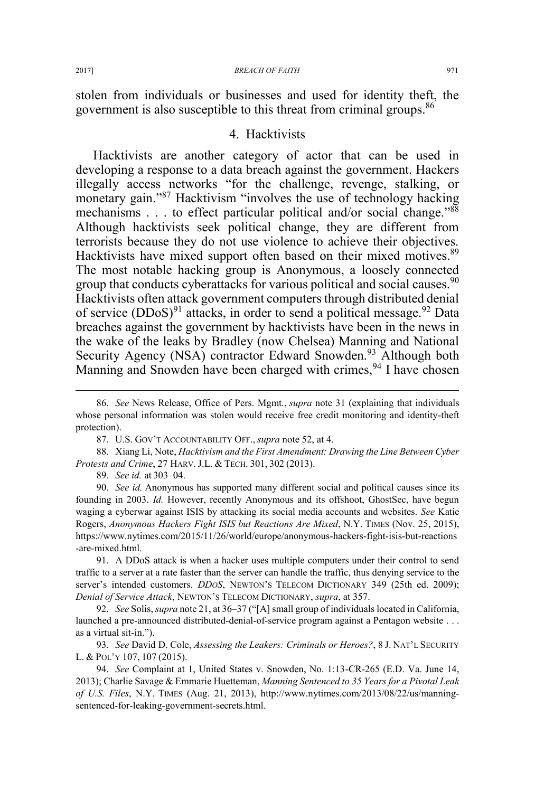stolen from individuals or businesses and used for identity theft, the government is also susceptible to this threat from criminal groups.<sup>86</sup>

### 4. Hacktivists

Hacktivists are another category of actor that can be used in developing a response to a data breach against the government. Hackers illegally access networks "for the challenge, revenge, stalking, or monetary gain."<sup>87</sup> Hacktivism "involves the use of technology hacking mechanisms . . . to effect particular political and/or social change."88 Although hacktivists seek political change, they are different from terrorists because they do not use violence to achieve their objectives. Hacktivists have mixed support often based on their mixed motives.<sup>89</sup> The most notable hacking group is Anonymous, a loosely connected group that conducts cyberattacks for various political and social causes.<sup>90</sup> Hacktivists often attack government computers through distributed denial of service  $(DDoS)^{91}$  attacks, in order to send a political message.<sup>92</sup> Data breaches against the government by hacktivists have been in the news in the wake of the leaks by Bradley (now Chelsea) Manning and National Security Agency (NSA) contractor Edward Snowden.<sup>93</sup> Although both Manning and Snowden have been charged with crimes, <sup>94</sup> I have chosen

89. *See id.* at 303–04.

90. *See id.* Anonymous has supported many different social and political causes since its founding in 2003. *Id.* However, recently Anonymous and its offshoot, GhostSec, have begun waging a cyberwar against ISIS by attacking its social media accounts and websites. *See* Katie Rogers, *Anonymous Hackers Fight ISIS but Reactions Are Mixed*, N.Y. TIMES (Nov. 25, 2015), https://www.nytimes.com/2015/11/26/world/europe/anonymous-hackers-fight-isis-but-reactions -are-mixed.html.

91. A DDoS attack is when a hacker uses multiple computers under their control to send traffic to a server at a rate faster than the server can handle the traffic, thus denying service to the server's intended customers. *DDOS*, NEWTON'S TELECOM DICTIONARY 349 (25th ed. 2009); *Denial of Service Attack*, NEWTON'S TELECOM DICTIONARY, *supra*, at 357.

92. *See* Solis, *supra* note 21, at 36–37 ("[A] small group of individuals located in California, launched a pre-announced distributed-denial-of-service program against a Pentagon website . . . as a virtual sit-in.").

93. *See* David D. Cole, *Assessing the Leakers: Criminals or Heroes?*, 8 J. NAT'L SECURITY L. & POL'Y 107, 107 (2015).

94. *See* Complaint at 1, United States v. Snowden, No. 1:13-CR-265 (E.D. Va. June 14, 2013); Charlie Savage & Emmarie Huetteman, *Manning Sentenced to 35 Years for a Pivotal Leak of U.S. Files*, N.Y. TIMES (Aug. 21, 2013), http://www.nytimes.com/2013/08/22/us/manningsentenced-for-leaking-government-secrets.html.

 <sup>86.</sup> *See* News Release, Office of Pers. Mgmt., *supra* note 31 (explaining that individuals whose personal information was stolen would receive free credit monitoring and identity-theft protection).

<sup>87.</sup> U.S. GOV'T ACCOUNTABILITY OFF., *supra* note 52, at 4.

<sup>88.</sup> Xiang Li, Note, *Hacktivism and the First Amendment: Drawing the Line Between Cyber Protests and Crime*, 27 HARV. J.L. & TECH. 301, 302 (2013).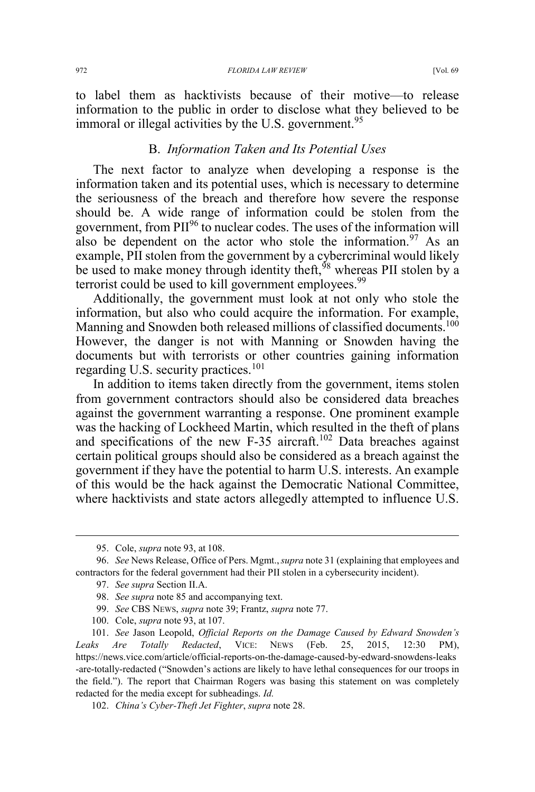to label them as hacktivists because of their motive—to release information to the public in order to disclose what they believed to be immoral or illegal activities by the U.S. government.<sup>95</sup>

## B. *Information Taken and Its Potential Uses*

The next factor to analyze when developing a response is the information taken and its potential uses, which is necessary to determine the seriousness of the breach and therefore how severe the response should be. A wide range of information could be stolen from the government, from PII<sup>96</sup> to nuclear codes. The uses of the information will also be dependent on the actor who stole the information.<sup>97</sup> As an example, PII stolen from the government by a cybercriminal would likely be used to make money through identity theft,  $\frac{98}{98}$  whereas PII stolen by a terrorist could be used to kill government employees.<sup>99</sup>

Additionally, the government must look at not only who stole the information, but also who could acquire the information. For example, Manning and Snowden both released millions of classified documents.<sup>100</sup> However, the danger is not with Manning or Snowden having the documents but with terrorists or other countries gaining information regarding U.S. security practices.<sup>101</sup>

In addition to items taken directly from the government, items stolen from government contractors should also be considered data breaches against the government warranting a response. One prominent example was the hacking of Lockheed Martin, which resulted in the theft of plans and specifications of the new F-35 aircraft.<sup>102</sup> Data breaches against certain political groups should also be considered as a breach against the government if they have the potential to harm U.S. interests. An example of this would be the hack against the Democratic National Committee, where hacktivists and state actors allegedly attempted to influence U.S.

 <sup>95.</sup> Cole, *supra* note 93, at 108.

<sup>96.</sup> *See* News Release, Office of Pers. Mgmt.,*supra* note 31 (explaining that employees and contractors for the federal government had their PII stolen in a cybersecurity incident).

<sup>97.</sup> *See supra* Section II.A.

<sup>98.</sup> *See supra* note 85 and accompanying text.

<sup>99.</sup> *See* CBS NEWS, *supra* note 39; Frantz, *supra* note 77.

<sup>100.</sup> Cole, *supra* note 93, at 107.

<sup>101.</sup> *See* Jason Leopold, *Official Reports on the Damage Caused by Edward Snowden's Leaks Are Totally Redacted*, VICE: NEWS (Feb. 25, 2015, 12:30 PM), https://news.vice.com/article/official-reports-on-the-damage-caused-by-edward-snowdens-leaks -are-totally-redacted ("Snowden's actions are likely to have lethal consequences for our troops in the field."). The report that Chairman Rogers was basing this statement on was completely redacted for the media except for subheadings. *Id.*

<sup>102.</sup> *China's Cyber-Theft Jet Fighter*, *supra* note 28.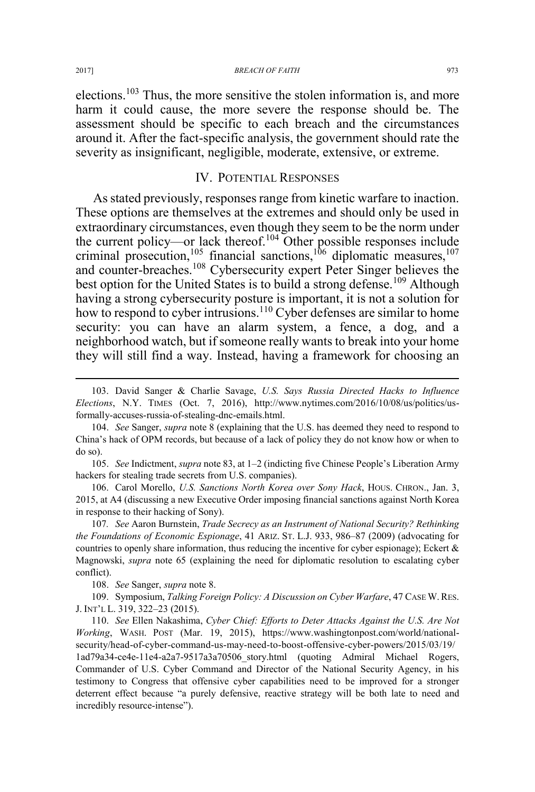#### 2017] *BREACH OF FAITH* 973

elections.103 Thus, the more sensitive the stolen information is, and more harm it could cause, the more severe the response should be. The assessment should be specific to each breach and the circumstances around it. After the fact-specific analysis, the government should rate the severity as insignificant, negligible, moderate, extensive, or extreme.

## IV. POTENTIAL RESPONSES

As stated previously, responses range from kinetic warfare to inaction. These options are themselves at the extremes and should only be used in extraordinary circumstances, even though they seem to be the norm under the current policy—or lack thereof.<sup>104</sup> Other possible responses include criminal prosecution,<sup>105</sup> financial sanctions,<sup>106</sup> diplomatic measures,<sup>107</sup> and counter-breaches.<sup>108</sup> Cybersecurity expert Peter Singer believes the best option for the United States is to build a strong defense.<sup>109</sup> Although having a strong cybersecurity posture is important, it is not a solution for how to respond to cyber intrusions.<sup>110</sup> Cyber defenses are similar to home security: you can have an alarm system, a fence, a dog, and a neighborhood watch, but if someone really wants to break into your home they will still find a way. Instead, having a framework for choosing an

 103. David Sanger & Charlie Savage, *U.S. Says Russia Directed Hacks to Influence Elections*, N.Y. TIMES (Oct. 7, 2016), http://www.nytimes.com/2016/10/08/us/politics/usformally-accuses-russia-of-stealing-dnc-emails.html.

104. *See* Sanger, *supra* note 8 (explaining that the U.S. has deemed they need to respond to China's hack of OPM records, but because of a lack of policy they do not know how or when to do so).

105. *See* Indictment, *supra* note 83, at 1–2 (indicting five Chinese People's Liberation Army hackers for stealing trade secrets from U.S. companies).

106. Carol Morello, *U.S. Sanctions North Korea over Sony Hack*, HOUS. CHRON., Jan. 3, 2015, at A4 (discussing a new Executive Order imposing financial sanctions against North Korea in response to their hacking of Sony).

107*. See* Aaron Burnstein, *Trade Secrecy as an Instrument of National Security? Rethinking the Foundations of Economic Espionage*, 41 ARIZ. ST. L.J. 933, 986–87 (2009) (advocating for countries to openly share information, thus reducing the incentive for cyber espionage); Eckert  $\&$ Magnowski, *supra* note 65 (explaining the need for diplomatic resolution to escalating cyber conflict).

108. *See* Sanger, *supra* note 8.

109. Symposium, *Talking Foreign Policy: A Discussion on Cyber Warfare*, 47 CASE W. RES. J. INT'L L. 319, 322–23 (2015).

110. *See* Ellen Nakashima, *Cyber Chief: Efforts to Deter Attacks Against the U.S. Are Not Working*, WASH. POST (Mar. 19, 2015), https://www.washingtonpost.com/world/nationalsecurity/head-of-cyber-command-us-may-need-to-boost-offensive-cyber-powers/2015/03/19/ 1ad79a34-ce4e-11e4-a2a7-9517a3a70506\_story.html (quoting Admiral Michael Rogers, Commander of U.S. Cyber Command and Director of the National Security Agency, in his testimony to Congress that offensive cyber capabilities need to be improved for a stronger deterrent effect because "a purely defensive, reactive strategy will be both late to need and incredibly resource-intense").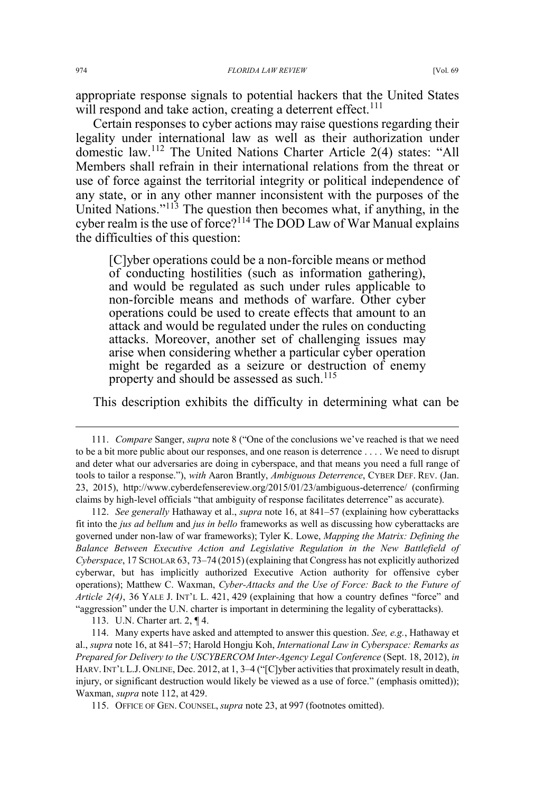appropriate response signals to potential hackers that the United States will respond and take action, creating a deterrent effect.<sup>111</sup>

Certain responses to cyber actions may raise questions regarding their legality under international law as well as their authorization under domestic law.<sup>112</sup> The United Nations Charter Article 2(4) states: "All Members shall refrain in their international relations from the threat or use of force against the territorial integrity or political independence of any state, or in any other manner inconsistent with the purposes of the United Nations."<sup>113</sup> The question then becomes what, if anything, in the cyber realm is the use of force?<sup>114</sup> The DOD Law of War Manual explains the difficulties of this question:

[C]yber operations could be a non-forcible means or method of conducting hostilities (such as information gathering), and would be regulated as such under rules applicable to non-forcible means and methods of warfare. Other cyber operations could be used to create effects that amount to an attack and would be regulated under the rules on conducting attacks. Moreover, another set of challenging issues may arise when considering whether a particular cyber operation might be regarded as a seizure or destruction of enemy property and should be assessed as such.<sup>115</sup>

This description exhibits the difficulty in determining what can be

112. *See generally* Hathaway et al., *supra* note 16, at 841–57 (explaining how cyberattacks fit into the *jus ad bellum* and *jus in bello* frameworks as well as discussing how cyberattacks are governed under non-law of war frameworks); Tyler K. Lowe, *Mapping the Matrix: Defining the Balance Between Executive Action and Legislative Regulation in the New Battlefield of Cyberspace*, 17 SCHOLAR 63, 73–74 (2015) (explaining that Congress has not explicitly authorized cyberwar, but has implicitly authorized Executive Action authority for offensive cyber operations); Matthew C. Waxman, *Cyber-Attacks and the Use of Force: Back to the Future of Article 2(4)*, 36 YALE J. INT'L L. 421, 429 (explaining that how a country defines "force" and "aggression" under the U.N. charter is important in determining the legality of cyberattacks).

113. U.N. Charter art. 2, ¶ 4.

114. Many experts have asked and attempted to answer this question. *See, e.g.*, Hathaway et al., *supra* note 16, at 841–57; Harold Hongju Koh, *International Law in Cyberspace: Remarks as Prepared for Delivery to the USCYBERCOM Inter-Agency Legal Conference* (Sept. 18, 2012), *in* HARV. INT'L L.J. ONLINE, Dec. 2012, at 1, 3–4 ("[C]yber activities that proximately result in death, injury, or significant destruction would likely be viewed as a use of force." (emphasis omitted)); Waxman, *supra* note 112, at 429.

115. OFFICE OF GEN. COUNSEL, *supra* note 23, at 997 (footnotes omitted).

 <sup>111.</sup> *Compare* Sanger, *supra* note 8 ("One of the conclusions we've reached is that we need to be a bit more public about our responses, and one reason is deterrence . . . . We need to disrupt and deter what our adversaries are doing in cyberspace, and that means you need a full range of tools to tailor a response."), *with* Aaron Brantly, *Ambiguous Deterrence*, CYBER DEF. REV. (Jan. 23, 2015), http://www.cyberdefensereview.org/2015/01/23/ambiguous-deterrence/ (confirming claims by high-level officials "that ambiguity of response facilitates deterrence" as accurate).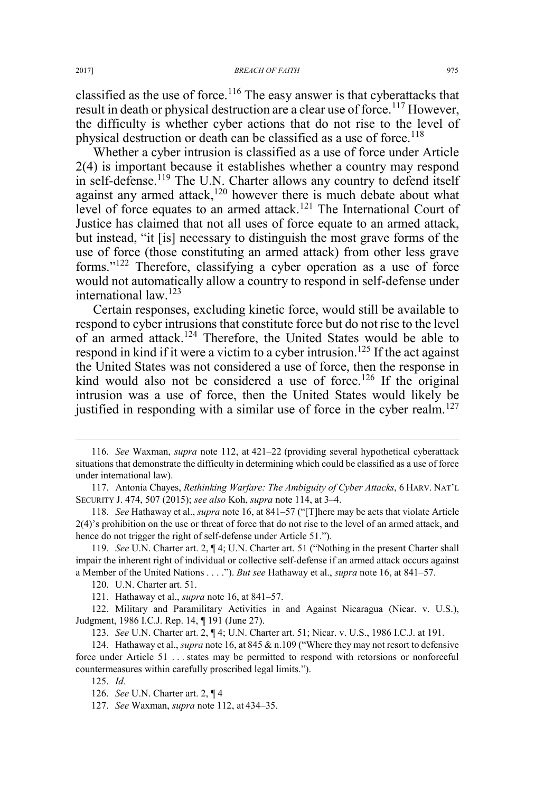classified as the use of force.<sup>116</sup> The easy answer is that cyberattacks that result in death or physical destruction are a clear use of force.<sup>117</sup> However, the difficulty is whether cyber actions that do not rise to the level of physical destruction or death can be classified as a use of force.<sup>118</sup>

Whether a cyber intrusion is classified as a use of force under Article 2(4) is important because it establishes whether a country may respond in self-defense.<sup>119</sup> The U.N. Charter allows any country to defend itself against any armed attack,<sup>120</sup> however there is much debate about what level of force equates to an armed attack.<sup>121</sup> The International Court of Justice has claimed that not all uses of force equate to an armed attack, but instead, "it [is] necessary to distinguish the most grave forms of the use of force (those constituting an armed attack) from other less grave forms."<sup>122</sup> Therefore, classifying a cyber operation as a use of force would not automatically allow a country to respond in self-defense under international law.<sup>123</sup>

Certain responses, excluding kinetic force, would still be available to respond to cyber intrusions that constitute force but do not rise to the level of an armed attack.<sup>124</sup> Therefore, the United States would be able to respond in kind if it were a victim to a cyber intrusion.<sup>125</sup> If the act against the United States was not considered a use of force, then the response in kind would also not be considered a use of force.<sup>126</sup> If the original intrusion was a use of force, then the United States would likely be justified in responding with a similar use of force in the cyber realm.<sup>127</sup>

 <sup>116.</sup> *See* Waxman, *supra* note 112, at 421–22 (providing several hypothetical cyberattack situations that demonstrate the difficulty in determining which could be classified as a use of force under international law).

<sup>117.</sup> Antonia Chayes, *Rethinking Warfare: The Ambiguity of Cyber Attacks*,6HARV. NAT'L SECURITY J. 474, 507 (2015); *see also* Koh, *supra* note 114, at 3–4.

<sup>118.</sup> *See* Hathaway et al., *supra* note 16, at 841–57 ("[T]here may be acts that violate Article 2(4)'s prohibition on the use or threat of force that do not rise to the level of an armed attack, and hence do not trigger the right of self-defense under Article 51.").

<sup>119.</sup> *See* U.N. Charter art. 2, ¶ 4; U.N. Charter art. 51 ("Nothing in the present Charter shall impair the inherent right of individual or collective self-defense if an armed attack occurs against a Member of the United Nations . . . ."). *But see* Hathaway et al., *supra* note 16, at 841–57.

<sup>120.</sup> U.N. Charter art. 51.

<sup>121.</sup> Hathaway et al., *supra* note 16, at 841–57.

<sup>122.</sup> Military and Paramilitary Activities in and Against Nicaragua (Nicar. v. U.S.), Judgment, 1986 I.C.J. Rep. 14, ¶ 191 (June 27).

<sup>123.</sup> *See* U.N. Charter art. 2, ¶ 4; U.N. Charter art. 51; Nicar. v. U.S., 1986 I.C.J. at 191.

<sup>124.</sup> Hathaway et al., *supra* note 16, at 845 & n.109 ("Where they may not resort to defensive force under Article 51 . . . states may be permitted to respond with retorsions or nonforceful countermeasures within carefully proscribed legal limits.").

<sup>125.</sup> *Id.*

<sup>126.</sup> *See* U.N. Charter art. 2, ¶ 4

<sup>127.</sup> *See* Waxman, *supra* note 112, at 434–35.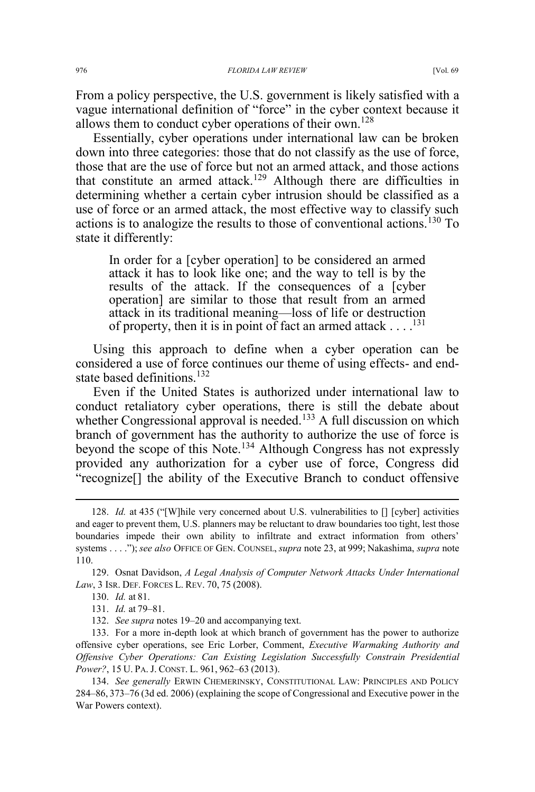From a policy perspective, the U.S. government is likely satisfied with a vague international definition of "force" in the cyber context because it allows them to conduct cyber operations of their own.<sup>128</sup>

Essentially, cyber operations under international law can be broken down into three categories: those that do not classify as the use of force, those that are the use of force but not an armed attack, and those actions that constitute an armed attack.<sup>129</sup> Although there are difficulties in determining whether a certain cyber intrusion should be classified as a use of force or an armed attack, the most effective way to classify such actions is to analogize the results to those of conventional actions.<sup>130</sup> To state it differently:

In order for a [cyber operation] to be considered an armed attack it has to look like one; and the way to tell is by the results of the attack. If the consequences of a [cyber operation] are similar to those that result from an armed attack in its traditional meaning—loss of life or destruction of property, then it is in point of fact an armed attack . . . .131

Using this approach to define when a cyber operation can be considered a use of force continues our theme of using effects- and endstate based definitions.<sup>132</sup>

Even if the United States is authorized under international law to conduct retaliatory cyber operations, there is still the debate about whether Congressional approval is needed.<sup>133</sup> A full discussion on which branch of government has the authority to authorize the use of force is beyond the scope of this Note.<sup>134</sup> Although Congress has not expressly provided any authorization for a cyber use of force, Congress did "recognize[] the ability of the Executive Branch to conduct offensive

 <sup>128.</sup> *Id.* at 435 ("[W]hile very concerned about U.S. vulnerabilities to [] [cyber] activities and eager to prevent them, U.S. planners may be reluctant to draw boundaries too tight, lest those boundaries impede their own ability to infiltrate and extract information from others' systems . . . ."); *see also* OFFICE OF GEN. COUNSEL, *supra* note 23, at 999; Nakashima, *supra* note 110.

<sup>129.</sup> Osnat Davidson, *A Legal Analysis of Computer Network Attacks Under International Law*, 3 ISR. DEF. FORCES L. REV. 70, 75 (2008).

<sup>130.</sup> *Id.* at 81.

<sup>131.</sup> *Id.* at 79–81.

<sup>132.</sup> *See supra* notes 19–20 and accompanying text.

<sup>133.</sup> For a more in-depth look at which branch of government has the power to authorize offensive cyber operations, see Eric Lorber, Comment, *Executive Warmaking Authority and Offensive Cyber Operations: Can Existing Legislation Successfully Constrain Presidential Power?*, 15 U. PA. J. CONST. L. 961, 962–63 (2013).

<sup>134.</sup> *See generally* ERWIN CHEMERINSKY, CONSTITUTIONAL LAW: PRINCIPLES AND POLICY 284–86, 373–76 (3d ed. 2006) (explaining the scope of Congressional and Executive power in the War Powers context).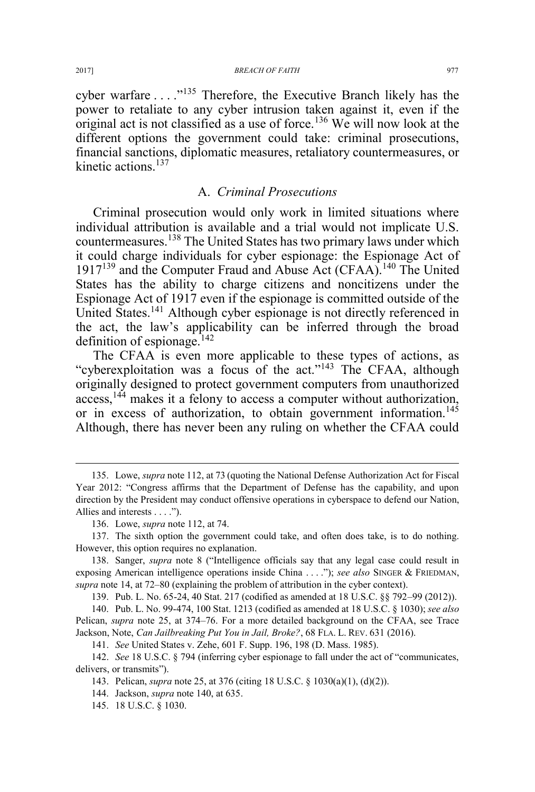cyber warfare . . . . "<sup>135</sup> Therefore, the Executive Branch likely has the power to retaliate to any cyber intrusion taken against it, even if the original act is not classified as a use of force.<sup>136</sup> We will now look at the different options the government could take: criminal prosecutions, financial sanctions, diplomatic measures, retaliatory countermeasures, or kinetic actions.<sup>137</sup>

## A. *Criminal Prosecutions*

Criminal prosecution would only work in limited situations where individual attribution is available and a trial would not implicate U.S. countermeasures.<sup>138</sup> The United States has two primary laws under which it could charge individuals for cyber espionage: the Espionage Act of 1917<sup>139</sup> and the Computer Fraud and Abuse Act (CFAA).<sup>140</sup> The United States has the ability to charge citizens and noncitizens under the Espionage Act of 1917 even if the espionage is committed outside of the United States.<sup>141</sup> Although cyber espionage is not directly referenced in the act, the law's applicability can be inferred through the broad definition of espionage.<sup>142</sup>

The CFAA is even more applicable to these types of actions, as "cyberexploitation was a focus of the act."<sup>143</sup> The CFAA, although originally designed to protect government computers from unauthorized access,<sup>144</sup> makes it a felony to access a computer without authorization, or in excess of authorization, to obtain government information.<sup>145</sup> Although, there has never been any ruling on whether the CFAA could

139. Pub. L. No. 65-24, 40 Stat. 217 (codified as amended at 18 U.S.C. §§ 792–99 (2012)).

141. *See* United States v. Zehe, 601 F. Supp. 196, 198 (D. Mass. 1985).

 <sup>135.</sup> Lowe, *supra* note 112, at 73 (quoting the National Defense Authorization Act for Fiscal Year 2012: "Congress affirms that the Department of Defense has the capability, and upon direction by the President may conduct offensive operations in cyberspace to defend our Nation, Allies and interests . . . .").

<sup>136.</sup> Lowe, *supra* note 112, at 74.

<sup>137.</sup> The sixth option the government could take, and often does take, is to do nothing. However, this option requires no explanation.

<sup>138.</sup> Sanger, *supra* note 8 ("Intelligence officials say that any legal case could result in exposing American intelligence operations inside China . . . ."); *see also* SINGER & FRIEDMAN, *supra* note 14, at 72–80 (explaining the problem of attribution in the cyber context).

<sup>140.</sup> Pub. L. No. 99-474, 100 Stat. 1213 (codified as amended at 18 U.S.C. § 1030); *see also* Pelican, *supra* note 25, at 374–76. For a more detailed background on the CFAA, see Trace Jackson, Note, *Can Jailbreaking Put You in Jail, Broke?*, 68 FLA. L. REV. 631 (2016).

<sup>142.</sup> *See* 18 U.S.C. § 794 (inferring cyber espionage to fall under the act of "communicates, delivers, or transmits").

<sup>143.</sup> Pelican, *supra* note 25, at 376 (citing 18 U.S.C. § 1030(a)(1), (d)(2)).

<sup>144.</sup> Jackson, *supra* note 140, at 635.

<sup>145. 18</sup> U.S.C. § 1030.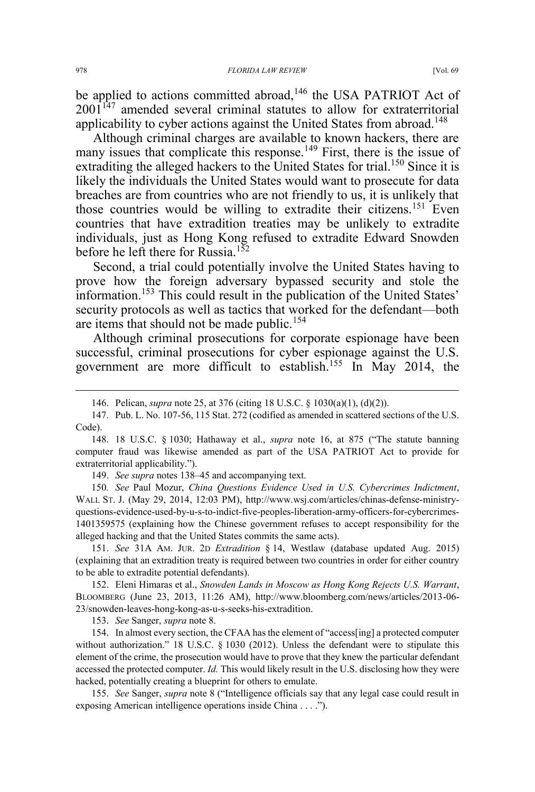be applied to actions committed abroad,<sup>146</sup> the USA PATRIOT Act of 2001147 amended several criminal statutes to allow for extraterritorial applicability to cyber actions against the United States from abroad.<sup>148</sup>

Although criminal charges are available to known hackers, there are many issues that complicate this response.<sup>149</sup> First, there is the issue of extraditing the alleged hackers to the United States for trial.<sup>150</sup> Since it is likely the individuals the United States would want to prosecute for data breaches are from countries who are not friendly to us, it is unlikely that those countries would be willing to extradite their citizens.<sup>151</sup> Even countries that have extradition treaties may be unlikely to extradite individuals, just as Hong Kong refused to extradite Edward Snowden before he left there for Russia.<sup>152</sup>

Second, a trial could potentially involve the United States having to prove how the foreign adversary bypassed security and stole the information.<sup>153</sup> This could result in the publication of the United States' security protocols as well as tactics that worked for the defendant—both are items that should not be made public.<sup>154</sup>

Although criminal prosecutions for corporate espionage have been successful, criminal prosecutions for cyber espionage against the U.S. government are more difficult to establish.<sup>155</sup> In May 2014, the

149. *See supra* notes 138–45 and accompanying text.

150*. See* Paul Mozur, *China Questions Evidence Used in U.S. Cybercrimes Indictment*, WALL ST. J. (May 29, 2014, 12:03 PM), http://www.wsj.com/articles/chinas-defense-ministryquestions-evidence-used-by-u-s-to-indict-five-peoples-liberation-army-officers-for-cybercrimes-1401359575 (explaining how the Chinese government refuses to accept responsibility for the alleged hacking and that the United States commits the same acts).

151. *See* 31A AM. JUR. 2D *Extradition* § 14, Westlaw (database updated Aug. 2015) (explaining that an extradition treaty is required between two countries in order for either country to be able to extradite potential defendants).

152. Eleni Himaras et al., *Snowden Lands in Moscow as Hong Kong Rejects U.S. Warrant*, BLOOMBERG (June 23, 2013, 11:26 AM), http://www.bloomberg.com/news/articles/2013-06- 23/snowden-leaves-hong-kong-as-u-s-seeks-his-extradition.

153. *See* Sanger, *supra* note 8.

154. In almost every section, the CFAA has the element of "access[ing] a protected computer without authorization." 18 U.S.C. § 1030 (2012). Unless the defendant were to stipulate this element of the crime, the prosecution would have to prove that they knew the particular defendant accessed the protected computer. *Id.* This would likely result in the U.S. disclosing how they were hacked, potentially creating a blueprint for others to emulate.

155. *See* Sanger, *supra* note 8 ("Intelligence officials say that any legal case could result in exposing American intelligence operations inside China . . . .").

 <sup>146.</sup> Pelican, *supra* note 25, at 376 (citing 18 U.S.C. § 1030(a)(1), (d)(2)).

<sup>147.</sup> Pub. L. No. 107-56, 115 Stat. 272 (codified as amended in scattered sections of the U.S. Code).

<sup>148. 18</sup> U.S.C. § 1030; Hathaway et al., *supra* note 16, at 875 ("The statute banning computer fraud was likewise amended as part of the USA PATRIOT Act to provide for extraterritorial applicability.").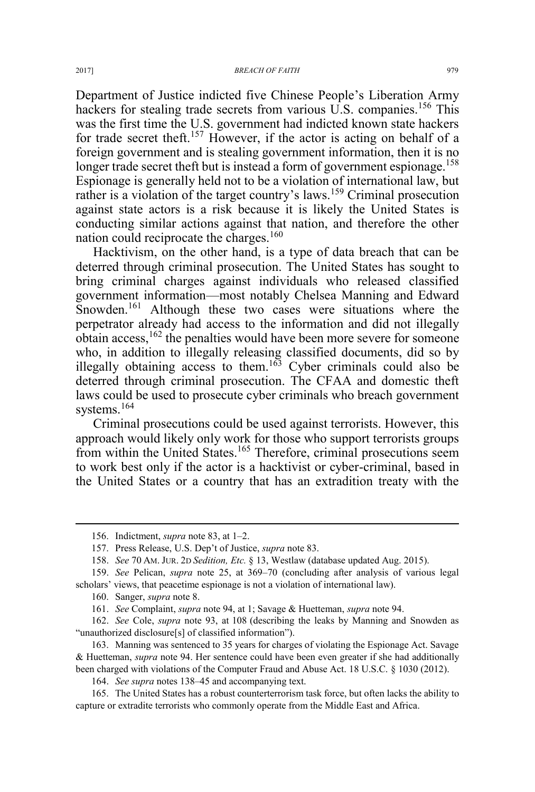Department of Justice indicted five Chinese People's Liberation Army hackers for stealing trade secrets from various U.S. companies.<sup>156</sup> This was the first time the U.S. government had indicted known state hackers for trade secret theft.<sup>157</sup> However, if the actor is acting on behalf of a foreign government and is stealing government information, then it is no longer trade secret theft but is instead a form of government espionage.<sup>158</sup> Espionage is generally held not to be a violation of international law, but rather is a violation of the target country's laws.<sup>159</sup> Criminal prosecution against state actors is a risk because it is likely the United States is conducting similar actions against that nation, and therefore the other nation could reciprocate the charges.<sup>160</sup>

Hacktivism, on the other hand, is a type of data breach that can be deterred through criminal prosecution. The United States has sought to bring criminal charges against individuals who released classified government information—most notably Chelsea Manning and Edward Snowden.<sup>161</sup> Although these two cases were situations where the perpetrator already had access to the information and did not illegally obtain access,<sup>162</sup> the penalties would have been more severe for someone who, in addition to illegally releasing classified documents, did so by illegally obtaining access to them.<sup>163</sup> Cyber criminals could also be deterred through criminal prosecution. The CFAA and domestic theft laws could be used to prosecute cyber criminals who breach government systems.<sup>164</sup>

Criminal prosecutions could be used against terrorists. However, this approach would likely only work for those who support terrorists groups from within the United States.<sup>165</sup> Therefore, criminal prosecutions seem to work best only if the actor is a hacktivist or cyber-criminal, based in the United States or a country that has an extradition treaty with the

 <sup>156.</sup> Indictment, *supra* note 83, at 1–2.

<sup>157.</sup> Press Release, U.S. Dep't of Justice, *supra* note 83.

<sup>158.</sup> *See* 70 AM. JUR. 2D *Sedition, Etc.* § 13, Westlaw (database updated Aug. 2015).

<sup>159.</sup> *See* Pelican, *supra* note 25, at 369–70 (concluding after analysis of various legal scholars' views, that peacetime espionage is not a violation of international law).

<sup>160.</sup> Sanger, *supra* note 8.

<sup>161.</sup> *See* Complaint, *supra* note 94, at 1; Savage & Huetteman, *supra* note 94.

<sup>162.</sup> *See* Cole, *supra* note 93, at 108 (describing the leaks by Manning and Snowden as "unauthorized disclosure[s] of classified information").

<sup>163.</sup> Manning was sentenced to 35 years for charges of violating the Espionage Act. Savage & Huetteman, *supra* note 94. Her sentence could have been even greater if she had additionally been charged with violations of the Computer Fraud and Abuse Act. 18 U.S.C. § 1030 (2012).

<sup>164.</sup> *See supra* notes 138–45 and accompanying text.

<sup>165.</sup> The United States has a robust counterterrorism task force, but often lacks the ability to capture or extradite terrorists who commonly operate from the Middle East and Africa.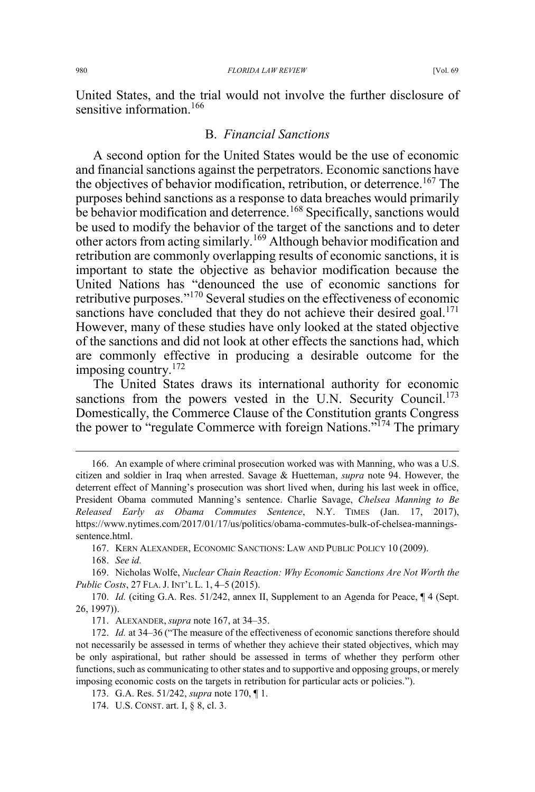United States, and the trial would not involve the further disclosure of sensitive information.<sup>166</sup>

## B. *Financial Sanctions*

A second option for the United States would be the use of economic and financial sanctions against the perpetrators. Economic sanctions have the objectives of behavior modification, retribution, or deterrence.<sup>167</sup> The purposes behind sanctions as a response to data breaches would primarily be behavior modification and deterrence.<sup>168</sup> Specifically, sanctions would be used to modify the behavior of the target of the sanctions and to deter other actors from acting similarly.<sup>169</sup> Although behavior modification and retribution are commonly overlapping results of economic sanctions, it is important to state the objective as behavior modification because the United Nations has "denounced the use of economic sanctions for retributive purposes."<sup>170</sup> Several studies on the effectiveness of economic sanctions have concluded that they do not achieve their desired goal.<sup>171</sup> However, many of these studies have only looked at the stated objective of the sanctions and did not look at other effects the sanctions had, which are commonly effective in producing a desirable outcome for the imposing country.<sup>172</sup>

The United States draws its international authority for economic sanctions from the powers vested in the U.N. Security Council.<sup>173</sup> Domestically, the Commerce Clause of the Constitution grants Congress the power to "regulate Commerce with foreign Nations."<sup>174</sup> The primary

 <sup>166.</sup> An example of where criminal prosecution worked was with Manning, who was a U.S. citizen and soldier in Iraq when arrested. Savage & Huetteman, *supra* note 94. However, the deterrent effect of Manning's prosecution was short lived when, during his last week in office, President Obama commuted Manning's sentence. Charlie Savage, *Chelsea Manning to Be Released Early as Obama Commutes Sentence*, N.Y. TIMES (Jan. 17, 2017), https://www.nytimes.com/2017/01/17/us/politics/obama-commutes-bulk-of-chelsea-manningssentence.html.

<sup>167.</sup> KERN ALEXANDER, ECONOMIC SANCTIONS: LAW AND PUBLIC POLICY 10 (2009).

<sup>168.</sup> *See id.*

<sup>169.</sup> Nicholas Wolfe, *Nuclear Chain Reaction: Why Economic Sanctions Are Not Worth the Public Costs*, 27 FLA. J. INT'L L. 1, 4–5 (2015).

<sup>170.</sup> *Id.* (citing G.A. Res. 51/242, annex II, Supplement to an Agenda for Peace, ¶ 4 (Sept. 26, 1997)).

<sup>171.</sup> ALEXANDER, *supra* note 167, at 34–35.

<sup>172.</sup> *Id.* at 34–36 ("The measure of the effectiveness of economic sanctions therefore should not necessarily be assessed in terms of whether they achieve their stated objectives, which may be only aspirational, but rather should be assessed in terms of whether they perform other functions, such as communicating to other states and to supportive and opposing groups, or merely imposing economic costs on the targets in retribution for particular acts or policies.").

<sup>173.</sup> G.A. Res. 51/242, *supra* note 170, ¶ 1.

<sup>174.</sup> U.S. CONST. art. I, § 8, cl. 3.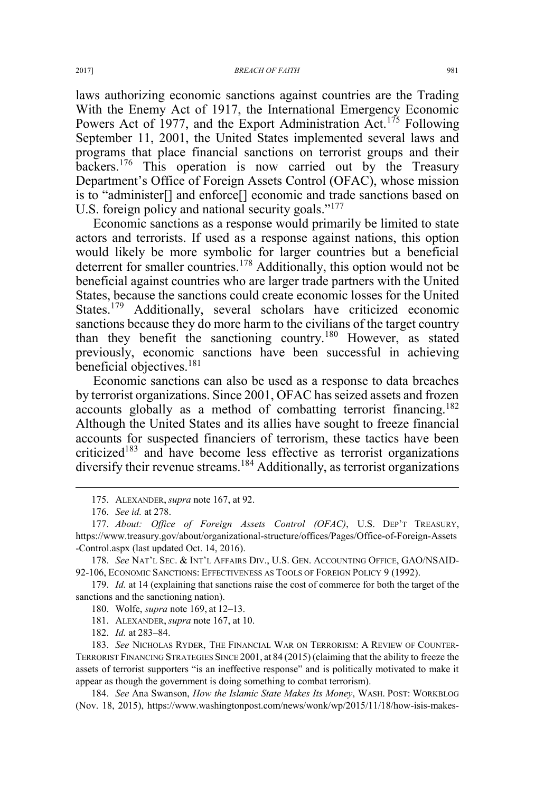laws authorizing economic sanctions against countries are the Trading With the Enemy Act of 1917, the International Emergency Economic Powers Act of 1977, and the Export Administration  $\tilde{A}ct$ .<sup>175</sup> Following September 11, 2001, the United States implemented several laws and programs that place financial sanctions on terrorist groups and their backers.<sup>176</sup> This operation is now carried out by the Treasury Department's Office of Foreign Assets Control (OFAC), whose mission is to "administer[] and enforce[] economic and trade sanctions based on U.S. foreign policy and national security goals."<sup>177</sup>

Economic sanctions as a response would primarily be limited to state actors and terrorists. If used as a response against nations, this option would likely be more symbolic for larger countries but a beneficial deterrent for smaller countries.<sup>178</sup> Additionally, this option would not be beneficial against countries who are larger trade partners with the United States, because the sanctions could create economic losses for the United States.<sup>179</sup> Additionally, several scholars have criticized economic sanctions because they do more harm to the civilians of the target country than they benefit the sanctioning country.<sup>180</sup> However, as stated previously, economic sanctions have been successful in achieving beneficial objectives.<sup>181</sup>

Economic sanctions can also be used as a response to data breaches by terrorist organizations. Since 2001, OFAC has seized assets and frozen accounts globally as a method of combatting terrorist financing.<sup>182</sup> Although the United States and its allies have sought to freeze financial accounts for suspected financiers of terrorism, these tactics have been criticized<sup>183</sup> and have become less effective as terrorist organizations diversify their revenue streams.<sup>184</sup> Additionally, as terrorist organizations

178. *See* NAT'L SEC.&INT'L AFFAIRS DIV., U.S. GEN. ACCOUNTING OFFICE, GAO/NSAID-92-106, ECONOMIC SANCTIONS: EFFECTIVENESS AS TOOLS OF FOREIGN POLICY 9 (1992).

179. *Id.* at 14 (explaining that sanctions raise the cost of commerce for both the target of the sanctions and the sanctioning nation).

181. ALEXANDER, *supra* note 167, at 10.

182. *Id.* at 283–84.

183. See NICHOLAS RYDER, THE FINANCIAL WAR ON TERRORISM: A REVIEW OF COUNTER-TERRORIST FINANCING STRATEGIES SINCE 2001, at 84 (2015) (claiming that the ability to freeze the assets of terrorist supporters "is an ineffective response" and is politically motivated to make it appear as though the government is doing something to combat terrorism).

184. *See* Ana Swanson, *How the Islamic State Makes Its Money*, WASH. POST: WORKBLOG (Nov. 18, 2015), https://www.washingtonpost.com/news/wonk/wp/2015/11/18/how-isis-makes-

 <sup>175.</sup> ALEXANDER, *supra* note 167, at 92.

<sup>176.</sup> *See id.* at 278.

<sup>177.</sup> *About: Office of Foreign Assets Control (OFAC)*, U.S. DEP'T TREASURY, https://www.treasury.gov/about/organizational-structure/offices/Pages/Office-of-Foreign-Assets -Control.aspx (last updated Oct. 14, 2016).

<sup>180.</sup> Wolfe, *supra* note 169, at 12–13.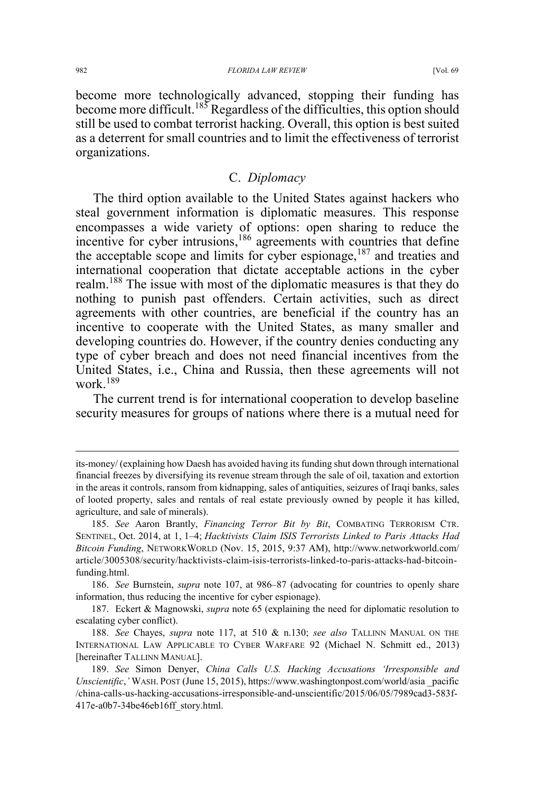become more technologically advanced, stopping their funding has become more difficult.<sup>185</sup> Regardless of the difficulties, this option should still be used to combat terrorist hacking. Overall, this option is best suited as a deterrent for small countries and to limit the effectiveness of terrorist organizations.

## C. *Diplomacy*

The third option available to the United States against hackers who steal government information is diplomatic measures. This response encompasses a wide variety of options: open sharing to reduce the incentive for cyber intrusions,<sup>186</sup> agreements with countries that define the acceptable scope and limits for cyber espionage, $187$  and treaties and international cooperation that dictate acceptable actions in the cyber realm.<sup>188</sup> The issue with most of the diplomatic measures is that they do nothing to punish past offenders. Certain activities, such as direct agreements with other countries, are beneficial if the country has an incentive to cooperate with the United States, as many smaller and developing countries do. However, if the country denies conducting any type of cyber breach and does not need financial incentives from the United States, i.e., China and Russia, then these agreements will not work $189$ 

The current trend is for international cooperation to develop baseline security measures for groups of nations where there is a mutual need for

 $\overline{a}$ 

its-money/ (explaining how Daesh has avoided having its funding shut down through international financial freezes by diversifying its revenue stream through the sale of oil, taxation and extortion in the areas it controls, ransom from kidnapping, sales of antiquities, seizures of Iraqi banks, sales of looted property, sales and rentals of real estate previously owned by people it has killed, agriculture, and sale of minerals).

<sup>185.</sup> *See* Aaron Brantly, *Financing Terror Bit by Bit*, COMBATING TERRORISM CTR. SENTINEL, Oct. 2014, at 1, 1–4; *Hacktivists Claim ISIS Terrorists Linked to Paris Attacks Had Bitcoin Funding*, NETWORKWORLD (Nov. 15, 2015, 9:37 AM), http://www.networkworld.com/ article/3005308/security/hacktivists-claim-isis-terrorists-linked-to-paris-attacks-had-bitcoinfunding.html.

<sup>186.</sup> *See* Burnstein, *supra* note 107, at 986–87 (advocating for countries to openly share information, thus reducing the incentive for cyber espionage).

<sup>187.</sup> Eckert & Magnowski, *supra* note 65 (explaining the need for diplomatic resolution to escalating cyber conflict).

<sup>188.</sup> *See* Chayes, *supra* note 117, at 510 & n.130; *see also* TALLINN MANUAL ON THE INTERNATIONAL LAW APPLICABLE TO CYBER WARFARE 92 (Michael N. Schmitt ed., 2013) [hereinafter TALLINN MANUAL].

<sup>189.</sup> *See* Simon Denyer, *China Calls U.S. Hacking Accusations 'Irresponsible and Unscientific*,*'* WASH. POST (June 15, 2015), https://www.washingtonpost.com/world/asia \_pacific /china-calls-us-hacking-accusations-irresponsible-and-unscientific/2015/06/05/7989cad3-583f-417e-a0b7-34be46eb16ff\_story.html.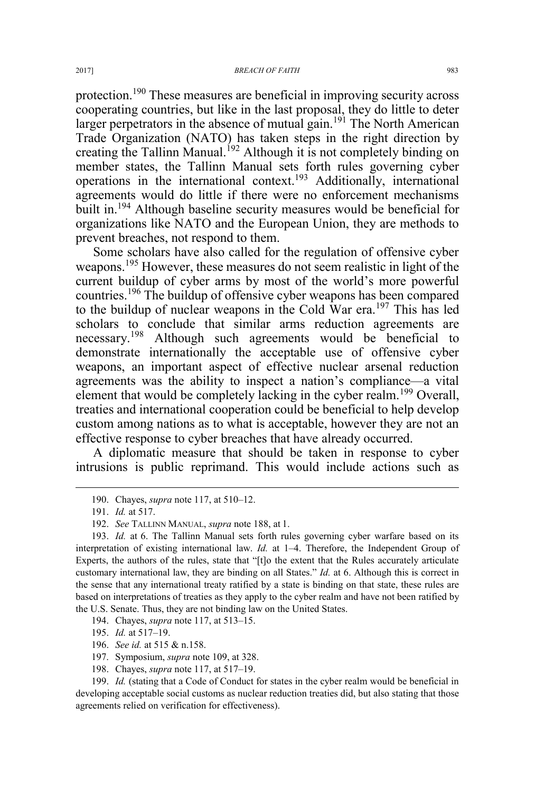protection.190 These measures are beneficial in improving security across cooperating countries, but like in the last proposal, they do little to deter larger perpetrators in the absence of mutual gain.<sup>191</sup> The North American Trade Organization (NATO) has taken steps in the right direction by creating the Tallinn Manual.<sup>192</sup> Although it is not completely binding on member states, the Tallinn Manual sets forth rules governing cyber operations in the international context.<sup>193</sup> Additionally, international agreements would do little if there were no enforcement mechanisms built in.<sup>194</sup> Although baseline security measures would be beneficial for organizations like NATO and the European Union, they are methods to prevent breaches, not respond to them.

Some scholars have also called for the regulation of offensive cyber weapons.<sup>195</sup> However, these measures do not seem realistic in light of the current buildup of cyber arms by most of the world's more powerful countries.<sup>196</sup> The buildup of offensive cyber weapons has been compared to the buildup of nuclear weapons in the Cold War era.<sup>197</sup> This has led scholars to conclude that similar arms reduction agreements are necessary.<sup>198</sup> Although such agreements would be beneficial to demonstrate internationally the acceptable use of offensive cyber weapons, an important aspect of effective nuclear arsenal reduction agreements was the ability to inspect a nation's compliance—a vital element that would be completely lacking in the cyber realm.<sup>199</sup> Overall, treaties and international cooperation could be beneficial to help develop custom among nations as to what is acceptable, however they are not an effective response to cyber breaches that have already occurred.

A diplomatic measure that should be taken in response to cyber intrusions is public reprimand. This would include actions such as

195. *Id.* at 517–19.

199. *Id.* (stating that a Code of Conduct for states in the cyber realm would be beneficial in developing acceptable social customs as nuclear reduction treaties did, but also stating that those agreements relied on verification for effectiveness).

 <sup>190.</sup> Chayes, *supra* note 117, at 510–12.

<sup>191.</sup> *Id.* at 517.

<sup>192.</sup> *See* TALLINN MANUAL, *supra* note 188, at 1.

<sup>193.</sup> *Id.* at 6. The Tallinn Manual sets forth rules governing cyber warfare based on its interpretation of existing international law. *Id.* at 1–4. Therefore, the Independent Group of Experts, the authors of the rules, state that "[t]o the extent that the Rules accurately articulate customary international law, they are binding on all States." *Id.* at 6. Although this is correct in the sense that any international treaty ratified by a state is binding on that state, these rules are based on interpretations of treaties as they apply to the cyber realm and have not been ratified by the U.S. Senate. Thus, they are not binding law on the United States.

<sup>194.</sup> Chayes, *supra* note 117, at 513–15.

<sup>196.</sup> *See id.* at 515 & n.158.

<sup>197.</sup> Symposium, *supra* note 109, at 328.

<sup>198.</sup> Chayes, *supra* note 117, at 517–19.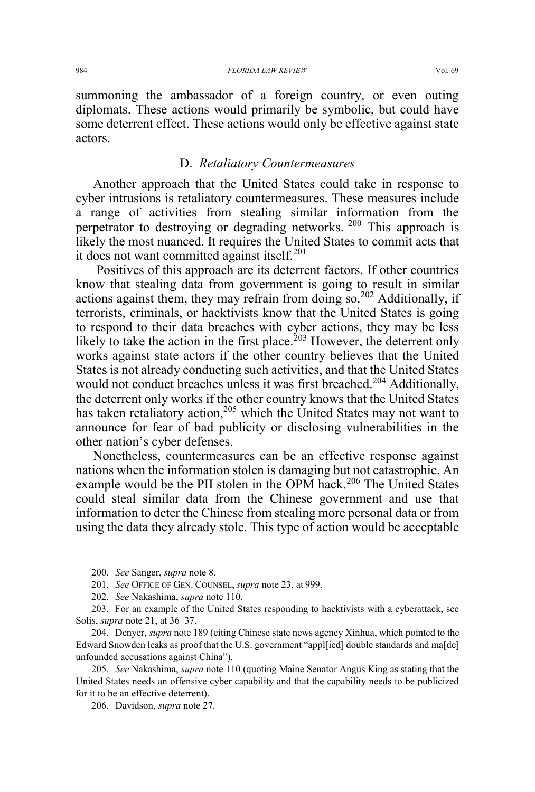summoning the ambassador of a foreign country, or even outing diplomats. These actions would primarily be symbolic, but could have some deterrent effect. These actions would only be effective against state actors.

#### D. *Retaliatory Countermeasures*

Another approach that the United States could take in response to cyber intrusions is retaliatory countermeasures. These measures include a range of activities from stealing similar information from the perpetrator to destroying or degrading networks.<sup>200</sup> This approach is likely the most nuanced. It requires the United States to commit acts that it does not want committed against itself.<sup>201</sup>

Positives of this approach are its deterrent factors. If other countries know that stealing data from government is going to result in similar actions against them, they may refrain from doing so.<sup>202</sup> Additionally, if terrorists, criminals, or hacktivists know that the United States is going to respond to their data breaches with cyber actions, they may be less likely to take the action in the first place.<sup>203</sup> However, the deterrent only works against state actors if the other country believes that the United States is not already conducting such activities, and that the United States would not conduct breaches unless it was first breached.<sup>204</sup> Additionally, the deterrent only works if the other country knows that the United States has taken retaliatory action,<sup>205</sup> which the United States may not want to announce for fear of bad publicity or disclosing vulnerabilities in the other nation's cyber defenses.

Nonetheless, countermeasures can be an effective response against nations when the information stolen is damaging but not catastrophic. An example would be the PII stolen in the OPM hack.<sup>206</sup> The United States could steal similar data from the Chinese government and use that information to deter the Chinese from stealing more personal data or from using the data they already stole. This type of action would be acceptable

 <sup>200.</sup> *See* Sanger, *supra* note 8.

<sup>201.</sup> *See* OFFICE OF GEN. COUNSEL, *supra* note 23, at 999.

<sup>202.</sup> *See* Nakashima, *supra* note 110.

<sup>203.</sup> For an example of the United States responding to hacktivists with a cyberattack, see Solis, *supra* note 21, at 36–37.

<sup>204.</sup> Denyer, *supra* note 189 (citing Chinese state news agency Xinhua, which pointed to the Edward Snowden leaks as proof that the U.S. government "appl[ied] double standards and ma[de] unfounded accusations against China").

<sup>205.</sup> *See* Nakashima, *supra* note 110 (quoting Maine Senator Angus King as stating that the United States needs an offensive cyber capability and that the capability needs to be publicized for it to be an effective deterrent).

<sup>206.</sup> Davidson, *supra* note 27.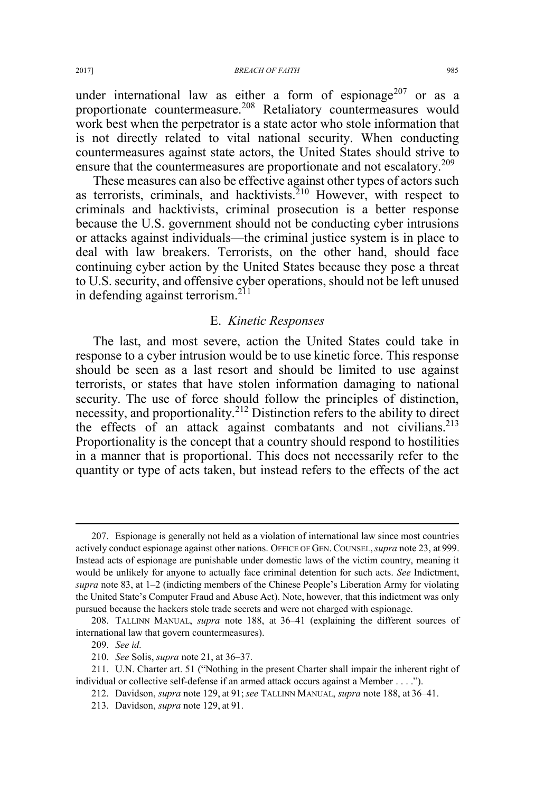under international law as either a form of espionage<sup>207</sup> or as a proportionate countermeasure.<sup>208</sup> Retaliatory countermeasures would work best when the perpetrator is a state actor who stole information that is not directly related to vital national security. When conducting countermeasures against state actors, the United States should strive to ensure that the countermeasures are proportionate and not escalatory.<sup>209</sup>

These measures can also be effective against other types of actors such as terrorists, criminals, and hacktivists.<sup>210</sup> However, with respect to criminals and hacktivists, criminal prosecution is a better response because the U.S. government should not be conducting cyber intrusions or attacks against individuals—the criminal justice system is in place to deal with law breakers. Terrorists, on the other hand, should face continuing cyber action by the United States because they pose a threat to U.S. security, and offensive cyber operations, should not be left unused in defending against terrorism.<sup>211</sup>

#### E. *Kinetic Responses*

The last, and most severe, action the United States could take in response to a cyber intrusion would be to use kinetic force. This response should be seen as a last resort and should be limited to use against terrorists, or states that have stolen information damaging to national security. The use of force should follow the principles of distinction, necessity, and proportionality.<sup>212</sup> Distinction refers to the ability to direct the effects of an attack against combatants and not civilians.<sup>213</sup> Proportionality is the concept that a country should respond to hostilities in a manner that is proportional. This does not necessarily refer to the quantity or type of acts taken, but instead refers to the effects of the act

 <sup>207.</sup> Espionage is generally not held as a violation of international law since most countries actively conduct espionage against other nations. OFFICE OF GEN. COUNSEL,*supra* note 23, at 999. Instead acts of espionage are punishable under domestic laws of the victim country, meaning it would be unlikely for anyone to actually face criminal detention for such acts. *See* Indictment, *supra* note 83, at 1–2 (indicting members of the Chinese People's Liberation Army for violating the United State's Computer Fraud and Abuse Act). Note, however, that this indictment was only pursued because the hackers stole trade secrets and were not charged with espionage.

<sup>208.</sup> TALLINN MANUAL, *supra* note 188, at 36–41 (explaining the different sources of international law that govern countermeasures).

<sup>209.</sup> *See id.* 

<sup>210.</sup> *See* Solis, *supra* note 21, at 36–37.

<sup>211.</sup> U.N. Charter art. 51 ("Nothing in the present Charter shall impair the inherent right of individual or collective self-defense if an armed attack occurs against a Member . . . .").

<sup>212.</sup> Davidson, *supra* note 129, at 91; *see* TALLINN MANUAL, *supra* note 188, at 36–41.

<sup>213.</sup> Davidson, *supra* note 129, at 91.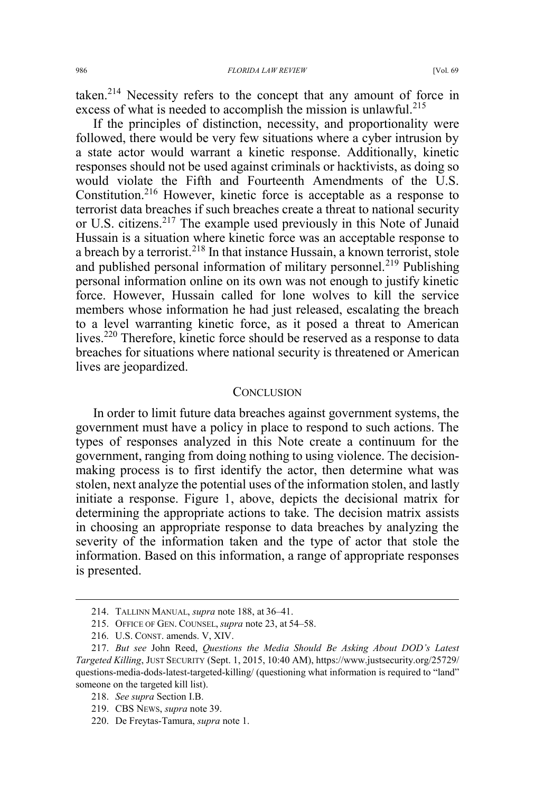taken.<sup>214</sup> Necessity refers to the concept that any amount of force in excess of what is needed to accomplish the mission is unlawful.<sup>215</sup>

If the principles of distinction, necessity, and proportionality were followed, there would be very few situations where a cyber intrusion by a state actor would warrant a kinetic response. Additionally, kinetic responses should not be used against criminals or hacktivists, as doing so would violate the Fifth and Fourteenth Amendments of the U.S. Constitution.216 However, kinetic force is acceptable as a response to terrorist data breaches if such breaches create a threat to national security or U.S. citizens.<sup>217</sup> The example used previously in this Note of Junaid Hussain is a situation where kinetic force was an acceptable response to a breach by a terrorist.<sup>218</sup> In that instance Hussain, a known terrorist, stole and published personal information of military personnel.<sup>219</sup> Publishing personal information online on its own was not enough to justify kinetic force. However, Hussain called for lone wolves to kill the service members whose information he had just released, escalating the breach to a level warranting kinetic force, as it posed a threat to American lives.<sup>220</sup> Therefore, kinetic force should be reserved as a response to data breaches for situations where national security is threatened or American lives are jeopardized.

#### **CONCLUSION**

In order to limit future data breaches against government systems, the government must have a policy in place to respond to such actions. The types of responses analyzed in this Note create a continuum for the government, ranging from doing nothing to using violence. The decisionmaking process is to first identify the actor, then determine what was stolen, next analyze the potential uses of the information stolen, and lastly initiate a response. Figure 1, above, depicts the decisional matrix for determining the appropriate actions to take. The decision matrix assists in choosing an appropriate response to data breaches by analyzing the severity of the information taken and the type of actor that stole the information. Based on this information, a range of appropriate responses is presented.

 <sup>214.</sup> TALLINN MANUAL, *supra* note 188, at 36–41.

<sup>215.</sup> OFFICE OF GEN. COUNSEL, *supra* note 23, at 54–58.

<sup>216.</sup> U.S. CONST. amends. V, XIV.

<sup>217.</sup> *But see* John Reed, *Questions the Media Should Be Asking About DOD's Latest Targeted Killing*, JUST SECURITY (Sept. 1, 2015, 10:40 AM), https://www.justsecurity.org/25729/ questions-media-dods-latest-targeted-killing/ (questioning what information is required to "land" someone on the targeted kill list).

<sup>218.</sup> *See supra* Section I.B.

<sup>219.</sup> CBS NEWS, *supra* note 39.

<sup>220.</sup> De Freytas-Tamura, *supra* note 1.